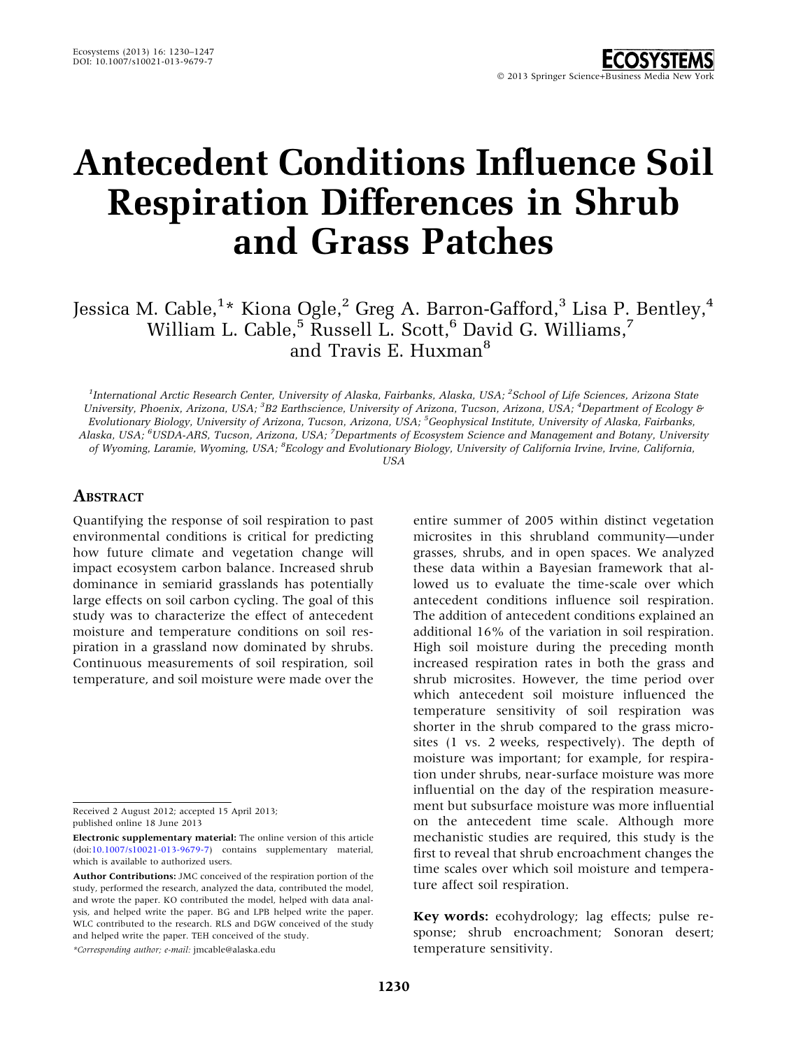# Antecedent Conditions Influence Soil Respiration Differences in Shrub and Grass Patches

Jessica M. Cable, $^{1\star}$  Kiona Ogle, $^{2}$  Greg A. Barron-Gafford, $^{3}$  Lisa P. Bentley, $^{4}$ William L. Cable,<sup>5</sup> Russell L. Scott,<sup>6</sup> David G. Williams,<sup>7</sup> and Travis E. Huxman<sup>8</sup>

<sup>1</sup>International Arctic Research Center, University of Alaska, Fairbanks, Alaska, USA; <sup>2</sup>School of Life Sciences, Arizona State University, Phoenix, Arizona, USA; <sup>3</sup>B2 Earthscience, University of Arizona, Tucson, Arizona, USA; <sup>4</sup>Department of Ecology & Evolutionary Biology, University of Arizona, Tucson, Arizona, USA; <sup>5</sup>Geophysical Institute, University of Alaska, Fairbanks, Alaska, USA; <sup>6</sup>USDA-ARS, Tucson, Arizona, USA; <sup>7</sup>Departments of Ecosystem Science and Management and Botany, University of Wyoming, Laramie, Wyoming, USA; <sup>8</sup>Ecology and Evolutionary Biology, University of California Irvine, Irvine, California, USA

### ABSTRACT

Quantifying the response of soil respiration to past environmental conditions is critical for predicting how future climate and vegetation change will impact ecosystem carbon balance. Increased shrub dominance in semiarid grasslands has potentially large effects on soil carbon cycling. The goal of this study was to characterize the effect of antecedent moisture and temperature conditions on soil respiration in a grassland now dominated by shrubs. Continuous measurements of soil respiration, soil temperature, and soil moisture were made over the

Received 2 August 2012; accepted 15 April 2013; published online 18 June 2013

\*Corresponding author; e-mail: jmcable@alaska.edu

entire summer of 2005 within distinct vegetation microsites in this shrubland community—under grasses, shrubs, and in open spaces. We analyzed these data within a Bayesian framework that allowed us to evaluate the time-scale over which antecedent conditions influence soil respiration. The addition of antecedent conditions explained an additional 16% of the variation in soil respiration. High soil moisture during the preceding month increased respiration rates in both the grass and shrub microsites. However, the time period over which antecedent soil moisture influenced the temperature sensitivity of soil respiration was shorter in the shrub compared to the grass microsites (1 vs. 2 weeks, respectively). The depth of moisture was important; for example, for respiration under shrubs, near-surface moisture was more influential on the day of the respiration measurement but subsurface moisture was more influential on the antecedent time scale. Although more mechanistic studies are required, this study is the first to reveal that shrub encroachment changes the time scales over which soil moisture and temperature affect soil respiration.

Key words: ecohydrology; lag effects; pulse response; shrub encroachment; Sonoran desert; temperature sensitivity.

Electronic supplementary material: The online version of this article (doi[:10.1007/s10021-013-9679-7\)](http://dx.doi.org/10.1007/s10021-013-9679-7) contains supplementary material, which is available to authorized users.

Author Contributions: JMC conceived of the respiration portion of the study, performed the research, analyzed the data, contributed the model, and wrote the paper. KO contributed the model, helped with data analysis, and helped write the paper. BG and LPB helped write the paper. WLC contributed to the research. RLS and DGW conceived of the study and helped write the paper. TEH conceived of the study.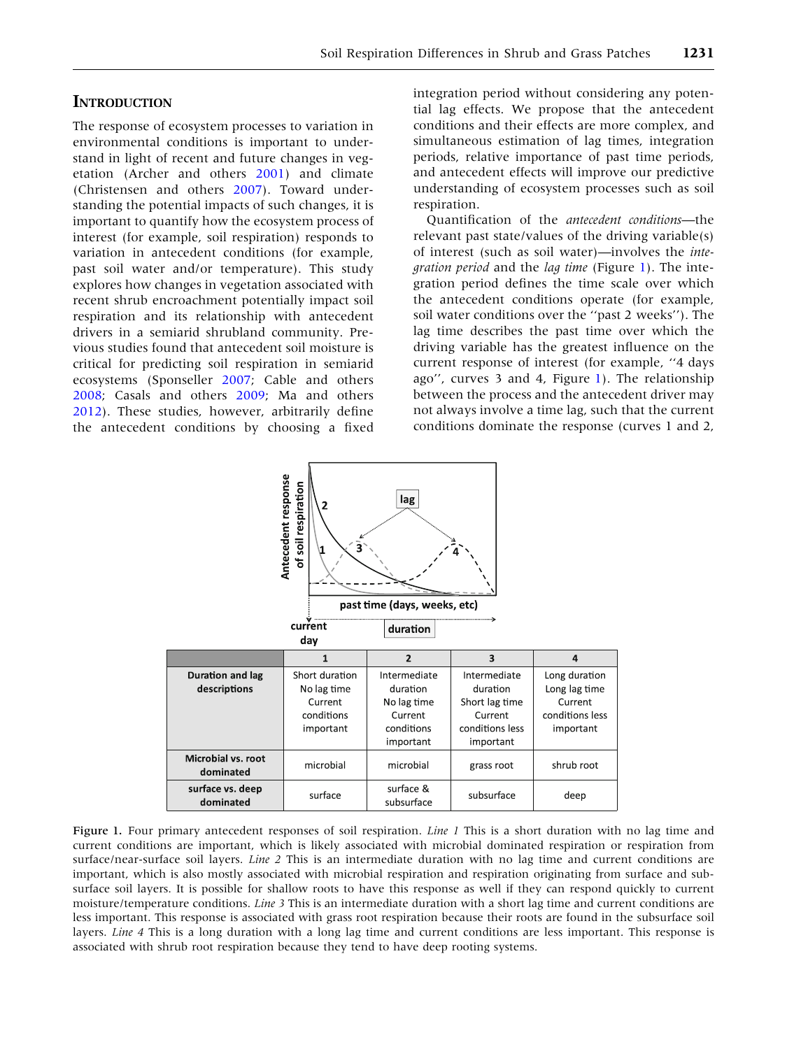# <span id="page-1-0"></span>**INTRODUCTION**

The response of ecosystem processes to variation in environmental conditions is important to understand in light of recent and future changes in vegetation (Archer and others [2001](#page-16-0)) and climate (Christensen and others [2007\)](#page-16-0). Toward understanding the potential impacts of such changes, it is important to quantify how the ecosystem process of interest (for example, soil respiration) responds to variation in antecedent conditions (for example, past soil water and/or temperature). This study explores how changes in vegetation associated with recent shrub encroachment potentially impact soil respiration and its relationship with antecedent drivers in a semiarid shrubland community. Previous studies found that antecedent soil moisture is critical for predicting soil respiration in semiarid ecosystems (Sponseller [2007;](#page-17-0) Cable and others [2008;](#page-16-0) Casals and others [2009](#page-16-0); Ma and others [2012\)](#page-16-0). These studies, however, arbitrarily define the antecedent conditions by choosing a fixed integration period without considering any potential lag effects. We propose that the antecedent conditions and their effects are more complex, and simultaneous estimation of lag times, integration periods, relative importance of past time periods, and antecedent effects will improve our predictive understanding of ecosystem processes such as soil respiration.

Quantification of the antecedent conditions—the relevant past state/values of the driving variable(s) of interest (such as soil water)—involves the integration period and the lag time (Figure 1). The integration period defines the time scale over which the antecedent conditions operate (for example, soil water conditions over the ''past 2 weeks''). The lag time describes the past time over which the driving variable has the greatest influence on the current response of interest (for example, ''4 days ago'', curves 3 and 4, Figure 1). The relationship between the process and the antecedent driver may not always involve a time lag, such that the current conditions dominate the response (curves 1 and 2,



Figure 1. Four primary antecedent responses of soil respiration. Line 1 This is a short duration with no lag time and current conditions are important, which is likely associated with microbial dominated respiration or respiration from surface/near-surface soil layers. Line 2 This is an intermediate duration with no lag time and current conditions are important, which is also mostly associated with microbial respiration and respiration originating from surface and subsurface soil layers. It is possible for shallow roots to have this response as well if they can respond quickly to current moisture/temperature conditions. Line 3 This is an intermediate duration with a short lag time and current conditions are less important. This response is associated with grass root respiration because their roots are found in the subsurface soil layers. Line 4 This is a long duration with a long lag time and current conditions are less important. This response is associated with shrub root respiration because they tend to have deep rooting systems.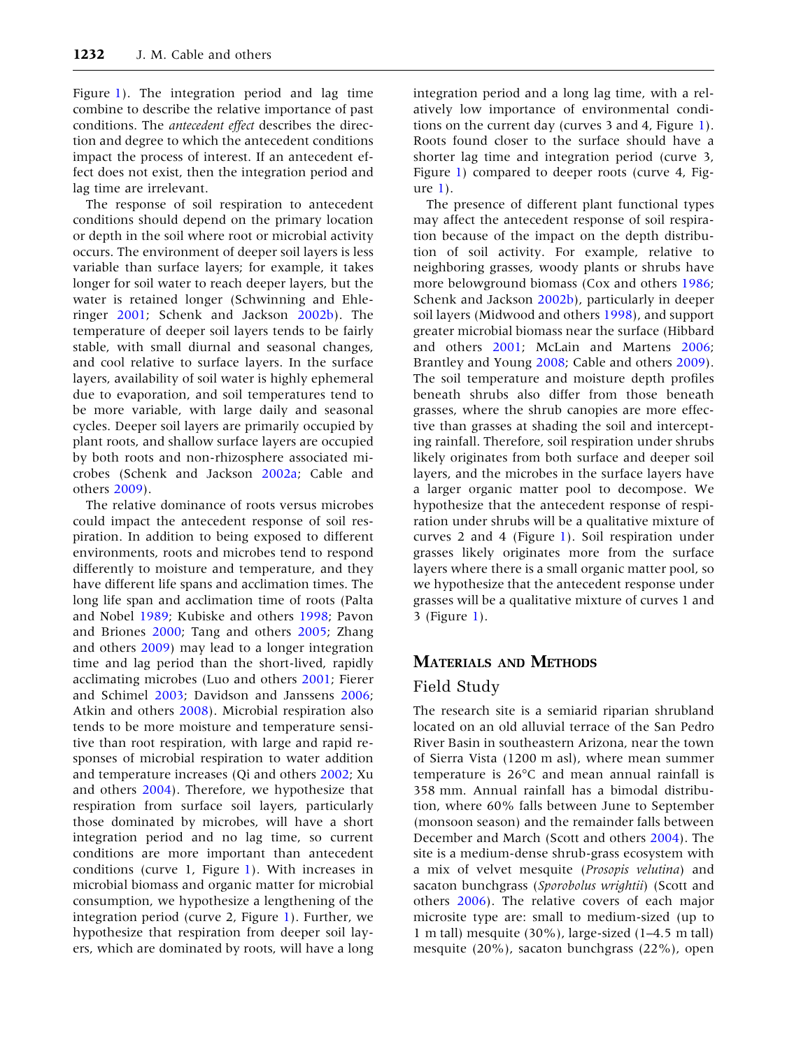Figure [1](#page-1-0)). The integration period and lag time combine to describe the relative importance of past conditions. The antecedent effect describes the direction and degree to which the antecedent conditions impact the process of interest. If an antecedent effect does not exist, then the integration period and lag time are irrelevant.

The response of soil respiration to antecedent conditions should depend on the primary location or depth in the soil where root or microbial activity occurs. The environment of deeper soil layers is less variable than surface layers; for example, it takes longer for soil water to reach deeper layers, but the water is retained longer (Schwinning and Ehleringer [2001](#page-17-0); Schenk and Jackson [2002b\)](#page-17-0). The temperature of deeper soil layers tends to be fairly stable, with small diurnal and seasonal changes, and cool relative to surface layers. In the surface layers, availability of soil water is highly ephemeral due to evaporation, and soil temperatures tend to be more variable, with large daily and seasonal cycles. Deeper soil layers are primarily occupied by plant roots, and shallow surface layers are occupied by both roots and non-rhizosphere associated microbes (Schenk and Jackson [2002a;](#page-17-0) Cable and others [2009\)](#page-16-0).

The relative dominance of roots versus microbes could impact the antecedent response of soil respiration. In addition to being exposed to different environments, roots and microbes tend to respond differently to moisture and temperature, and they have different life spans and acclimation times. The long life span and acclimation time of roots (Palta and Nobel [1989](#page-17-0); Kubiske and others [1998;](#page-16-0) Pavon and Briones [2000;](#page-17-0) Tang and others [2005;](#page-17-0) Zhang and others [2009](#page-17-0)) may lead to a longer integration time and lag period than the short-lived, rapidly acclimating microbes (Luo and others [2001;](#page-16-0) Fierer and Schimel [2003;](#page-16-0) Davidson and Janssens [2006](#page-16-0); Atkin and others [2008](#page-16-0)). Microbial respiration also tends to be more moisture and temperature sensitive than root respiration, with large and rapid responses of microbial respiration to water addition and temperature increases (Qi and others [2002;](#page-17-0) Xu and others [2004](#page-17-0)). Therefore, we hypothesize that respiration from surface soil layers, particularly those dominated by microbes, will have a short integration period and no lag time, so current conditions are more important than antecedent conditions (curve 1, Figure [1\)](#page-1-0). With increases in microbial biomass and organic matter for microbial consumption, we hypothesize a lengthening of the integration period (curve 2, Figure [1](#page-1-0)). Further, we hypothesize that respiration from deeper soil layers, which are dominated by roots, will have a long integration period and a long lag time, with a relatively low importance of environmental conditions on the current day (curves 3 and 4, Figure [1](#page-1-0)). Roots found closer to the surface should have a shorter lag time and integration period (curve 3, Figure [1](#page-1-0)) compared to deeper roots (curve 4, Fig- $ure 1).$  $ure 1).$  $ure 1).$ 

The presence of different plant functional types may affect the antecedent response of soil respiration because of the impact on the depth distribution of soil activity. For example, relative to neighboring grasses, woody plants or shrubs have more belowground biomass (Cox and others [1986](#page-16-0); Schenk and Jackson [2002b](#page-17-0)), particularly in deeper soil layers (Midwood and others [1998](#page-16-0)), and support greater microbial biomass near the surface (Hibbard and others [2001;](#page-16-0) McLain and Martens [2006](#page-16-0); Brantley and Young [2008;](#page-16-0) Cable and others [2009](#page-16-0)). The soil temperature and moisture depth profiles beneath shrubs also differ from those beneath grasses, where the shrub canopies are more effective than grasses at shading the soil and intercepting rainfall. Therefore, soil respiration under shrubs likely originates from both surface and deeper soil layers, and the microbes in the surface layers have a larger organic matter pool to decompose. We hypothesize that the antecedent response of respiration under shrubs will be a qualitative mixture of curves 2 and 4 (Figure [1\)](#page-1-0). Soil respiration under grasses likely originates more from the surface layers where there is a small organic matter pool, so we hypothesize that the antecedent response under grasses will be a qualitative mixture of curves 1 and 3 (Figure [1\)](#page-1-0).

# MATERIALS AND METHODS Field Study

The research site is a semiarid riparian shrubland located on an old alluvial terrace of the San Pedro River Basin in southeastern Arizona, near the town of Sierra Vista (1200 m asl), where mean summer temperature is  $26^{\circ}$ C and mean annual rainfall is 358 mm. Annual rainfall has a bimodal distribution, where 60% falls between June to September (monsoon season) and the remainder falls between December and March (Scott and others [2004\)](#page-17-0). The site is a medium-dense shrub-grass ecosystem with a mix of velvet mesquite (Prosopis velutina) and sacaton bunchgrass (Sporobolus wrightii) (Scott and others [2006](#page-17-0)). The relative covers of each major microsite type are: small to medium-sized (up to 1 m tall) mesquite (30%), large-sized (1–4.5 m tall) mesquite (20%), sacaton bunchgrass (22%), open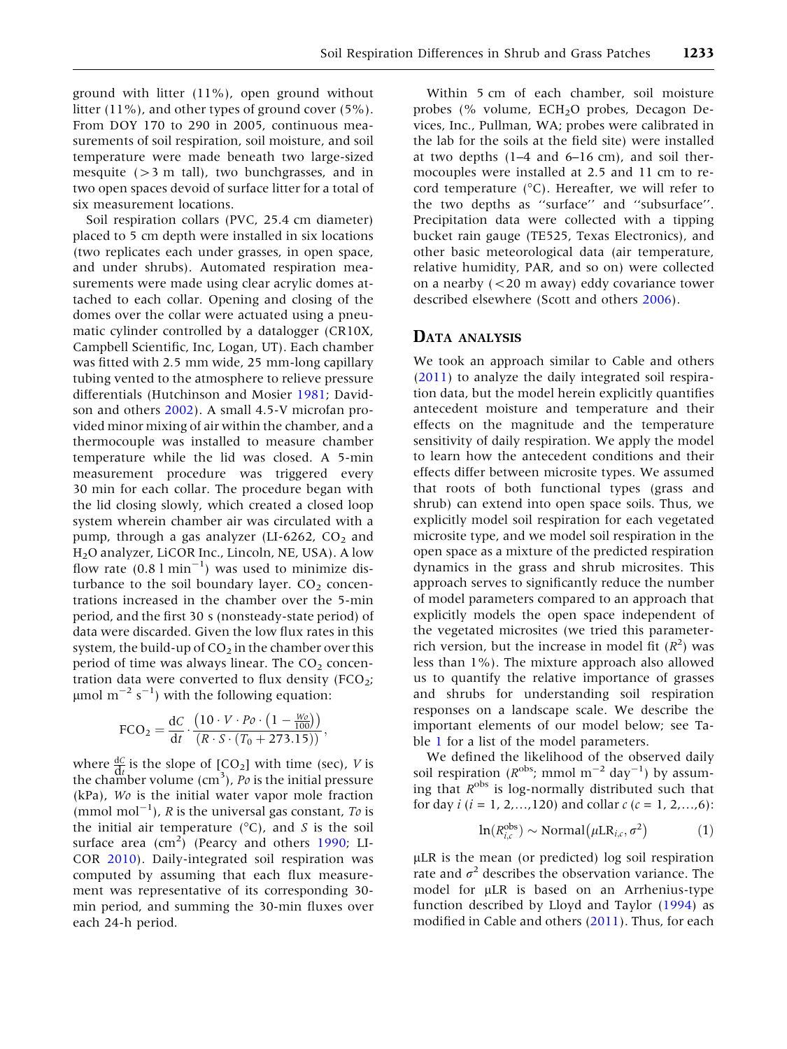<span id="page-3-0"></span>ground with litter (11%), open ground without litter (11%), and other types of ground cover (5%). From DOY 170 to 290 in 2005, continuous measurements of soil respiration, soil moisture, and soil temperature were made beneath two large-sized mesquite  $(>3$  m tall), two bunchgrasses, and in two open spaces devoid of surface litter for a total of six measurement locations.

Soil respiration collars (PVC, 25.4 cm diameter) placed to 5 cm depth were installed in six locations (two replicates each under grasses, in open space, and under shrubs). Automated respiration measurements were made using clear acrylic domes attached to each collar. Opening and closing of the domes over the collar were actuated using a pneumatic cylinder controlled by a datalogger (CR10X, Campbell Scientific, Inc, Logan, UT). Each chamber was fitted with 2.5 mm wide, 25 mm-long capillary tubing vented to the atmosphere to relieve pressure differentials (Hutchinson and Mosier [1981;](#page-16-0) Davidson and others [2002](#page-16-0)). A small 4.5-V microfan provided minor mixing of air within the chamber, and a thermocouple was installed to measure chamber temperature while the lid was closed. A 5-min measurement procedure was triggered every 30 min for each collar. The procedure began with the lid closing slowly, which created a closed loop system wherein chamber air was circulated with a pump, through a gas analyzer (LI-6262,  $CO<sub>2</sub>$  and H2O analyzer, LiCOR Inc., Lincoln, NE, USA). A low flow rate  $(0.8 \text{ l min}^{-1})$  was used to minimize disturbance to the soil boundary layer.  $CO<sub>2</sub>$  concentrations increased in the chamber over the 5-min period, and the first 30 s (nonsteady-state period) of data were discarded. Given the low flux rates in this system, the build-up of  $CO<sub>2</sub>$  in the chamber over this period of time was always linear. The  $CO<sub>2</sub>$  concentration data were converted to flux density  $(FCO<sub>2</sub>)$ ;  $\mu$ mol m<sup>-2</sup> s<sup>-1</sup>) with the following equation:

$$
\text{FCO}_2 = \frac{\text{d}C}{\text{d}t} \cdot \frac{\left(10 \cdot V \cdot Po \cdot \left(1 - \frac{W_0}{100}\right)\right)}{\left(R \cdot S \cdot \left(T_0 + 273.15\right)\right)},
$$

where  $\frac{dC}{dt}$  is the slope of  $[CO_2]$  with time (sec), V is the chamber volume  $(cm^3)$ , Po is the initial pressure  $(kPa)$ , Wo is the initial water vapor mole fraction (mmol mol<sup>-1</sup>), *R* is the universal gas constant, *To* is the initial air temperature  $(^{\circ}C)$ , and S is the soil surface area  $\text{(cm}^2\text{)}$  (Pearcy and others [1990](#page-17-0); LI-COR [2010](#page-16-0)). Daily-integrated soil respiration was computed by assuming that each flux measurement was representative of its corresponding 30 min period, and summing the 30-min fluxes over each 24-h period.

Within 5 cm of each chamber, soil moisture probes (% volume, ECH<sub>2</sub>O probes, Decagon Devices, Inc., Pullman, WA; probes were calibrated in the lab for the soils at the field site) were installed at two depths (1–4 and 6–16 cm), and soil thermocouples were installed at 2.5 and 11 cm to record temperature  $(^{\circ}C)$ . Hereafter, we will refer to the two depths as ''surface'' and ''subsurface''. Precipitation data were collected with a tipping bucket rain gauge (TE525, Texas Electronics), and other basic meteorological data (air temperature, relative humidity, PAR, and so on) were collected on a nearby (<20 m away) eddy covariance tower described elsewhere (Scott and others [2006\)](#page-17-0).

#### DATA ANALYSIS

We took an approach similar to Cable and others ([2011\)](#page-16-0) to analyze the daily integrated soil respiration data, but the model herein explicitly quantifies antecedent moisture and temperature and their effects on the magnitude and the temperature sensitivity of daily respiration. We apply the model to learn how the antecedent conditions and their effects differ between microsite types. We assumed that roots of both functional types (grass and shrub) can extend into open space soils. Thus, we explicitly model soil respiration for each vegetated microsite type, and we model soil respiration in the open space as a mixture of the predicted respiration dynamics in the grass and shrub microsites. This approach serves to significantly reduce the number of model parameters compared to an approach that explicitly models the open space independent of the vegetated microsites (we tried this parameterrich version, but the increase in model fit  $(R^2)$  was less than 1%). The mixture approach also allowed us to quantify the relative importance of grasses and shrubs for understanding soil respiration responses on a landscape scale. We describe the important elements of our model below; see Table [1](#page-4-0) for a list of the model parameters.

We defined the likelihood of the observed daily soil respiration ( $R^{\text{obs}}$ ; mmol m<sup>-2</sup> day<sup>-1</sup>) by assuming that  $R^{obs}$  is log-normally distributed such that for day  $i$  ( $i = 1, 2, ..., 120$ ) and collar  $c$  ( $c = 1, 2, ..., 6$ ):

$$
\ln(R_{i,c}^{\text{obs}}) \sim \text{Normal}(\mu \text{LR}_{i,c}, \sigma^2)
$$
 (1)

 $\mu$ LR is the mean (or predicted) log soil respiration rate and  $\sigma^2$  describes the observation variance. The model for µLR is based on an Arrhenius-type function described by Lloyd and Taylor [\(1994](#page-16-0)) as modified in Cable and others [\(2011\)](#page-16-0). Thus, for each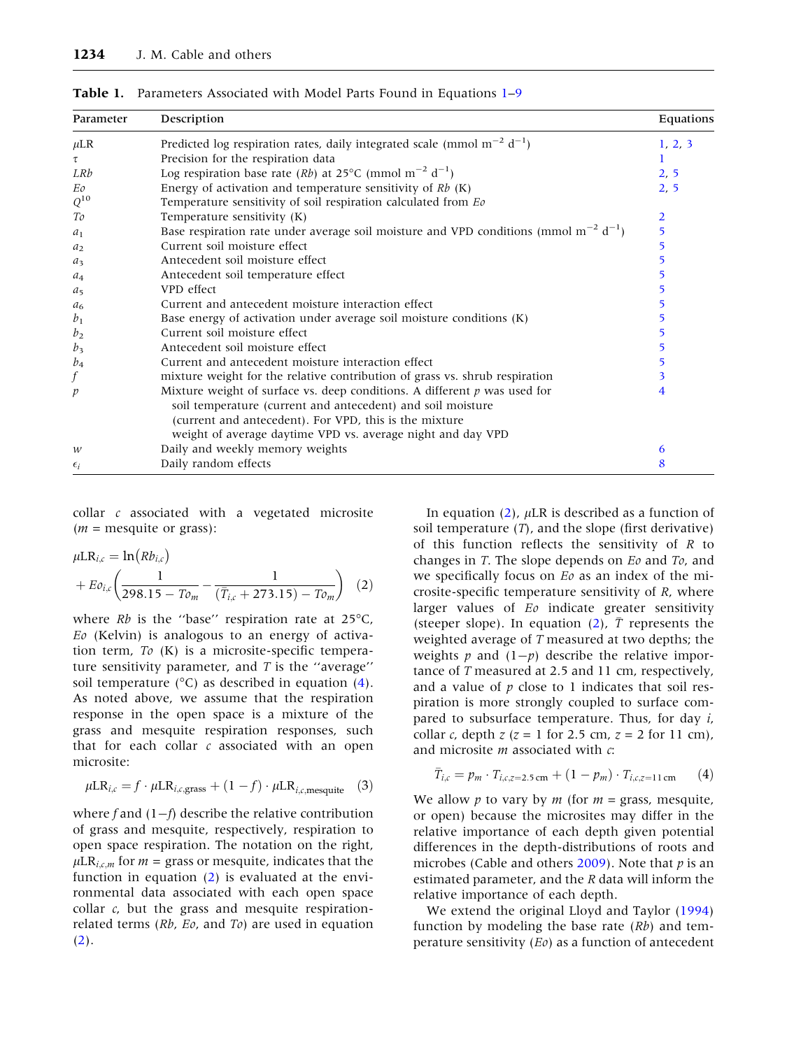| Parameter      | Description                                                                                  | Equations      |  |  |  |  |  |  |
|----------------|----------------------------------------------------------------------------------------------|----------------|--|--|--|--|--|--|
| $\mu$ LR       | Predicted log respiration rates, daily integrated scale (mmol $m^{-2} d^{-1}$ )              |                |  |  |  |  |  |  |
| τ              | Precision for the respiration data                                                           | 1, 2, 3        |  |  |  |  |  |  |
| LRb            | Log respiration base rate (Rb) at 25°C (mmol m <sup>-2</sup> d <sup>-1</sup> )               | 2, 5           |  |  |  |  |  |  |
| Eo             | Energy of activation and temperature sensitivity of $Rb$ (K)                                 | 2, 5           |  |  |  |  |  |  |
| $Q^{10}$       | Temperature sensitivity of soil respiration calculated from Eo                               |                |  |  |  |  |  |  |
| To             | Temperature sensitivity (K)                                                                  | $\overline{2}$ |  |  |  |  |  |  |
| $a_1$          | Base respiration rate under average soil moisture and VPD conditions (mmol $m^{-2} d^{-1}$ ) | 5              |  |  |  |  |  |  |
| a <sub>2</sub> | Current soil moisture effect                                                                 | 5              |  |  |  |  |  |  |
| $a_3$          | Antecedent soil moisture effect                                                              | 5              |  |  |  |  |  |  |
| $a_4$          | Antecedent soil temperature effect                                                           | 5              |  |  |  |  |  |  |
| a <sub>5</sub> | VPD effect                                                                                   | 5              |  |  |  |  |  |  |
| a <sub>6</sub> | Current and antecedent moisture interaction effect                                           | 5              |  |  |  |  |  |  |
| b <sub>1</sub> | Base energy of activation under average soil moisture conditions (K)                         | 5              |  |  |  |  |  |  |
| b <sub>2</sub> | Current soil moisture effect                                                                 | 5              |  |  |  |  |  |  |
| $b_3$          | Antecedent soil moisture effect                                                              | 5              |  |  |  |  |  |  |
| $b_4$          | Current and antecedent moisture interaction effect                                           | 5              |  |  |  |  |  |  |
|                | mixture weight for the relative contribution of grass vs. shrub respiration                  | 3              |  |  |  |  |  |  |
| $\mathcal{P}$  | Mixture weight of surface vs. deep conditions. A different $p$ was used for                  | 4              |  |  |  |  |  |  |
|                | soil temperature (current and antecedent) and soil moisture                                  |                |  |  |  |  |  |  |
|                | (current and antecedent). For VPD, this is the mixture                                       |                |  |  |  |  |  |  |
|                | weight of average daytime VPD vs. average night and day VPD                                  |                |  |  |  |  |  |  |
| W              | Daily and weekly memory weights                                                              | 6              |  |  |  |  |  |  |
| $\epsilon_i$   | Daily random effects                                                                         | 8              |  |  |  |  |  |  |

<span id="page-4-0"></span>Table 1. Parameters Associated with Model Parts Found in Equations 1-[9](#page-6-0)

collar c associated with a vegetated microsite  $(m =$  mesquite or grass):

$$
\mu \text{LR}_{i,c} = \ln(Rb_{i,c}) + Eo_{i,c} \left( \frac{1}{298.15 - To_m} - \frac{1}{(\bar{T}_{i,c} + 273.15) - To_m} \right) (2)
$$

where  $Rb$  is the "base" respiration rate at 25°C, Eo (Kelvin) is analogous to an energy of activation term,  $To$  (K) is a microsite-specific temperature sensitivity parameter, and  $T$  is the "average" soil temperature  $(^{\circ}C)$  as described in equation (4). As noted above, we assume that the respiration response in the open space is a mixture of the grass and mesquite respiration responses, such that for each collar  $c$  associated with an open microsite:

$$
\mu \text{LR}_{i,c} = f \cdot \mu \text{LR}_{i,c,\text{grass}} + (1 - f) \cdot \mu \text{LR}_{i,c,\text{mesquite}} \quad (3)
$$

where f and  $(1-f)$  describe the relative contribution of grass and mesquite, respectively, respiration to open space respiration. The notation on the right,  $\mu$ LR<sub>*i.c.m*</sub> for *m* = grass or mesquite, indicates that the function in equation  $(2)$  is evaluated at the environmental data associated with each open space collar  $c$ , but the grass and mesquite respirationrelated terms ( $Rb$ ,  $Eo$ , and  $To$ ) are used in equation  $(2).$ 

In equation  $(2)$ ,  $\mu$ LR is described as a function of soil temperature  $(T)$ , and the slope (first derivative) of this function reflects the sensitivity of  $R$  to changes in T. The slope depends on Eo and To, and we specifically focus on Eo as an index of the microsite-specific temperature sensitivity of R, where larger values of Eo indicate greater sensitivity (steeper slope). In equation (2),  $\bar{T}$  represents the weighted average of T measured at two depths; the weights p and  $(1-p)$  describe the relative importance of T measured at 2.5 and 11 cm, respectively, and a value of  $p$  close to 1 indicates that soil respiration is more strongly coupled to surface compared to subsurface temperature. Thus, for day i, collar c, depth  $z$  ( $z = 1$  for 2.5 cm,  $z = 2$  for 11 cm), and microsite  $m$  associated with  $c$ :

$$
\bar{T}_{i,c} = p_m \cdot T_{i,c,z=2.5 \text{ cm}} + (1 - p_m) \cdot T_{i,c,z=11 \text{ cm}} \qquad (4)
$$

We allow p to vary by  $m$  (for  $m =$  grass, mesquite, or open) because the microsites may differ in the relative importance of each depth given potential differences in the depth-distributions of roots and microbes (Cable and others  $2009$ ). Note that  $p$  is an estimated parameter, and the R data will inform the relative importance of each depth.

We extend the original Lloyd and Taylor [\(1994](#page-16-0)) function by modeling the base rate  $(Rb)$  and temperature sensitivity  $(Eo)$  as a function of antecedent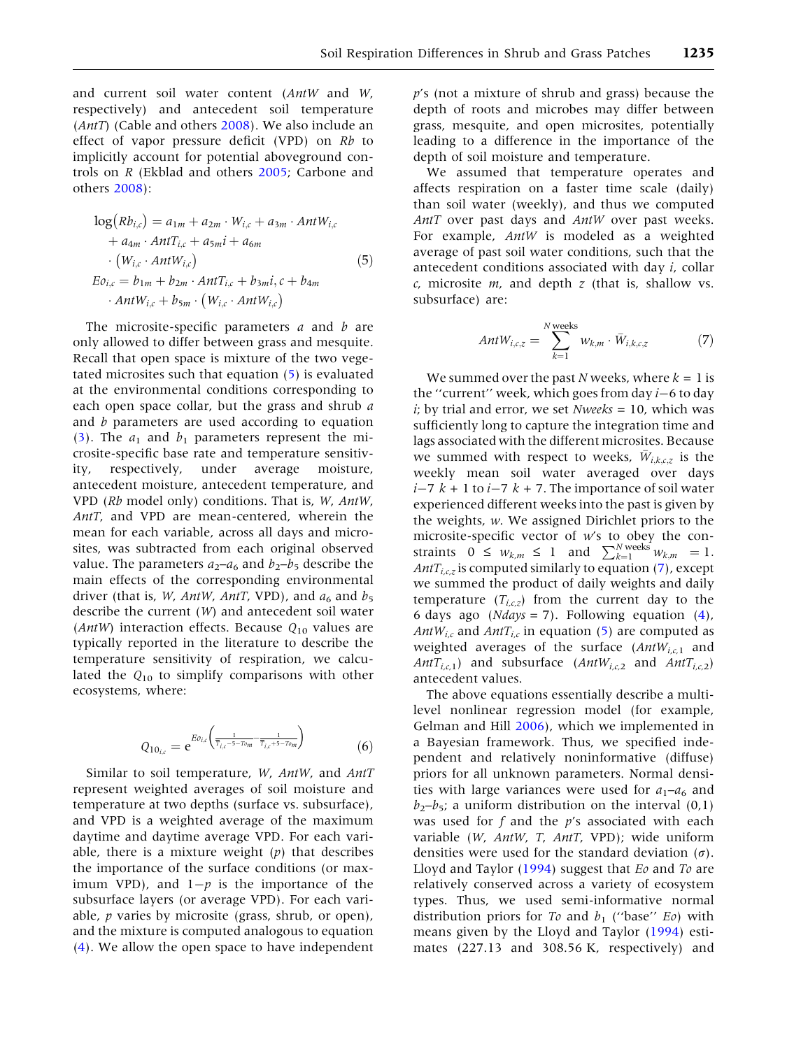<span id="page-5-0"></span>and current soil water content (AntW and W, respectively) and antecedent soil temperature  $(AntT)$  (Cable and others [2008\)](#page-16-0). We also include an effect of vapor pressure deficit (VPD) on Rb to implicitly account for potential aboveground controls on R (Ekblad and others [2005;](#page-16-0) Carbone and others [2008\)](#page-16-0):

$$
log(Rb_{i,c}) = a_{1m} + a_{2m} \cdot W_{i,c} + a_{3m} \cdot AntW_{i,c} + a_{4m} \cdot AntT_{i,c} + a_{5m}i + a_{6m} (W_{i,c} \cdot AntW_{i,c})
$$
 (5)  

$$
Eo_{i,c} = b_{1m} + b_{2m} \cdot AntT_{i,c} + b_{3m}i, c + b_{4m} AntW_{i,c} + b_{5m} \cdot (W_{i,c} \cdot AntW_{i,c})
$$

The microsite-specific parameters  $a$  and  $b$  are only allowed to differ between grass and mesquite. Recall that open space is mixture of the two vegetated microsites such that equation (5) is evaluated at the environmental conditions corresponding to each open space collar, but the grass and shrub a and  $b$  parameters are used according to equation ([3](#page-4-0)). The  $a_1$  and  $b_1$  parameters represent the microsite-specific base rate and temperature sensitivity, respectively, under average moisture, antecedent moisture, antecedent temperature, and VPD (Rb model only) conditions. That is, W, AntW, AntT, and VPD are mean-centered, wherein the mean for each variable, across all days and microsites, was subtracted from each original observed value. The parameters  $a_2-a_6$  and  $b_2-b_5$  describe the main effects of the corresponding environmental driver (that is, *W*, *AntW*, *AntT*, VPD), and  $a_6$  and  $b_5$ describe the current (W) and antecedent soil water (*AntW*) interaction effects. Because  $Q_{10}$  values are typically reported in the literature to describe the temperature sensitivity of respiration, we calculated the  $Q_{10}$  to simplify comparisons with other ecosystems, where:

$$
Q_{10_{i,c}} = e^{E o_{i,c} \left( \frac{1}{\overline{\tau}_{i,c} - 5 - \tau_{om}} - \frac{1}{\overline{\tau}_{i,c} + 5 - \tau_{om}}} \right)}
$$
(6)

Similar to soil temperature, W, AntW, and AntT represent weighted averages of soil moisture and temperature at two depths (surface vs. subsurface), and VPD is a weighted average of the maximum daytime and daytime average VPD. For each variable, there is a mixture weight  $(p)$  that describes the importance of the surface conditions (or maximum VPD), and  $1-p$  is the importance of the subsurface layers (or average VPD). For each variable, p varies by microsite (grass, shrub, or open), and the mixture is computed analogous to equation ([4](#page-4-0)). We allow the open space to have independent

 $p$ 's (not a mixture of shrub and grass) because the depth of roots and microbes may differ between grass, mesquite, and open microsites, potentially leading to a difference in the importance of the depth of soil moisture and temperature.

We assumed that temperature operates and affects respiration on a faster time scale (daily) than soil water (weekly), and thus we computed AntT over past days and AntW over past weeks. For example, AntW is modeled as a weighted average of past soil water conditions, such that the antecedent conditions associated with day i, collar  $c$ , microsite  $m$ , and depth  $z$  (that is, shallow vs. subsurface) are:

$$
AntW_{i,c,z} = \sum_{k=1}^{N \text{ weeks}} w_{k,m} \cdot \bar{W}_{i,k,c,z}
$$
 (7)

We summed over the past N weeks, where  $k = 1$  is the "current" week, which goes from day  $i-6$  to day  $i$ ; by trial and error, we set *Nweeks* = 10, which was sufficiently long to capture the integration time and lags associated with the different microsites. Because we summed with respect to weeks,  $\bar{W}_{i,k,c,z}$  is the weekly mean soil water averaged over days  $i-7$  k + 1 to  $i-7$  k + 7. The importance of soil water experienced different weeks into the past is given by the weights, w. We assigned Dirichlet priors to the microsite-specific vector of w's to obey the constraints  $0 \leq w_{k,m} \leq 1$  and  $\sum_{k=1}^{N} w_{k,m} = 1$ . Ant $T_{i,c,z}$  is computed similarly to equation (7), except we summed the product of daily weights and daily temperature  $(T_{i,c,z})$  from the current day to the 6 days ago ( $N days = 7$ ). Following equation ([4](#page-4-0)), *AntW<sub>i,c</sub>* and *AntT<sub>i,c</sub>* in equation (5) are computed as weighted averages of the surface  $(AntW_{i,c,1})$  and Ant $T_{i,c,1}$ ) and subsurface (Ant $W_{i,c,2}$  and Ant $T_{i,c,2}$ ) antecedent values.

The above equations essentially describe a multilevel nonlinear regression model (for example, Gelman and Hill [2006\)](#page-16-0), which we implemented in a Bayesian framework. Thus, we specified independent and relatively noninformative (diffuse) priors for all unknown parameters. Normal densities with large variances were used for  $a_1-a_6$  and  $b_2-b_5$ ; a uniform distribution on the interval (0,1) was used for  $f$  and the  $p$ 's associated with each variable (W, AntW, T, AntT, VPD); wide uniform densities were used for the standard deviation  $(\sigma)$ . Lloyd and Taylor [\(1994](#page-16-0)) suggest that  $E_0$  and  $T_0$  are relatively conserved across a variety of ecosystem types. Thus, we used semi-informative normal distribution priors for To and  $b_1$  ("base" Eo) with means given by the Lloyd and Taylor ([1994\)](#page-16-0) estimates (227.13 and 308.56 K, respectively) and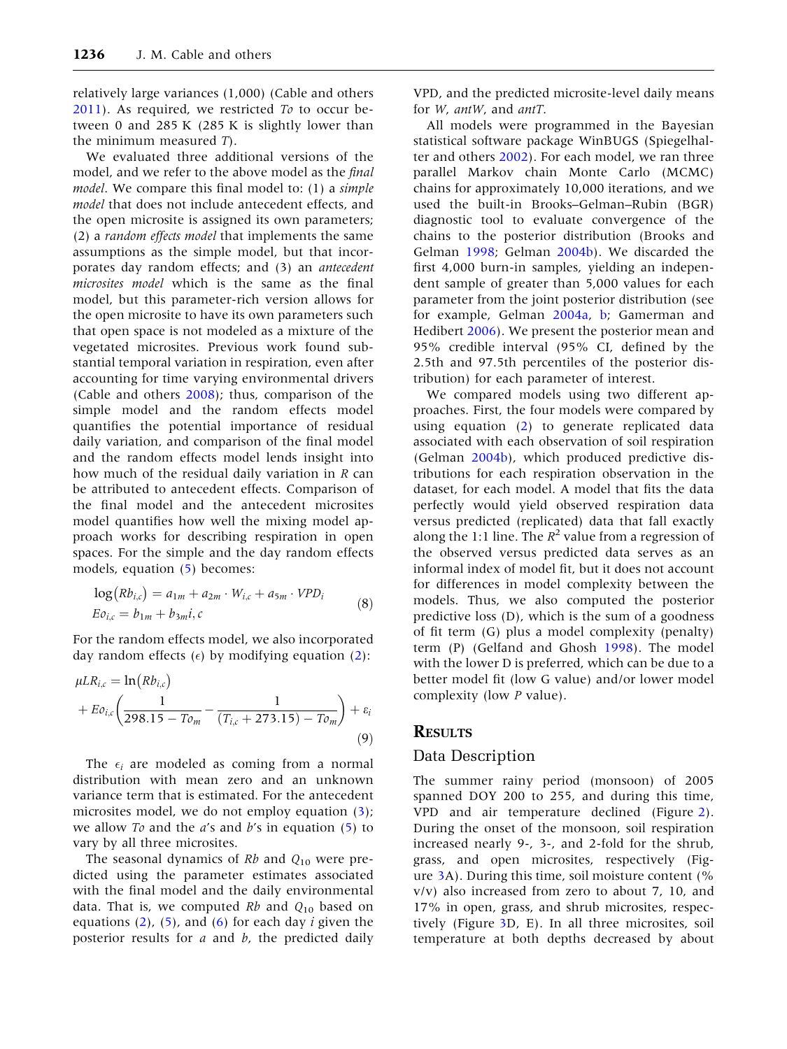<span id="page-6-0"></span>relatively large variances (1,000) (Cable and others  $2011$ ). As required, we restricted To to occur between 0 and 285 K (285 K is slightly lower than the minimum measured  $T$ ).

We evaluated three additional versions of the model, and we refer to the above model as the final model. We compare this final model to: (1) a *simple* model that does not include antecedent effects, and the open microsite is assigned its own parameters; (2) a random effects model that implements the same assumptions as the simple model, but that incorporates day random effects; and (3) an antecedent microsites model which is the same as the final model, but this parameter-rich version allows for the open microsite to have its own parameters such that open space is not modeled as a mixture of the vegetated microsites. Previous work found substantial temporal variation in respiration, even after accounting for time varying environmental drivers (Cable and others [2008](#page-16-0)); thus, comparison of the simple model and the random effects model quantifies the potential importance of residual daily variation, and comparison of the final model and the random effects model lends insight into how much of the residual daily variation in R can be attributed to antecedent effects. Comparison of the final model and the antecedent microsites model quantifies how well the mixing model approach works for describing respiration in open spaces. For the simple and the day random effects models, equation [\(5\)](#page-5-0) becomes:

$$
log(Rb_{i,c}) = a_{1m} + a_{2m} \cdot W_{i,c} + a_{5m} \cdot VPD_i
$$
  
\n
$$
Eo_{i,c} = b_{1m} + b_{3m}i, c
$$
 (8)

For the random effects model, we also incorporated day random effects  $(\epsilon)$  by modifying equation ([2](#page-4-0)):

$$
\mu LR_{i,c} = \ln(Rb_{i,c})
$$
  
+  $Eo_{i,c} \left( \frac{1}{298.15 - To_m} - \frac{1}{(T_{i,c} + 273.15) - To_m} \right) + \varepsilon_i$  (9)

The  $\epsilon_i$  are modeled as coming from a normal distribution with mean zero and an unknown variance term that is estimated. For the antecedent microsites model, we do not employ equation ([3](#page-4-0)); we allow To and the  $a$ 's and  $b$ 's in equation [\(5\)](#page-5-0) to vary by all three microsites.

The seasonal dynamics of Rb and  $Q_{10}$  were predicted using the parameter estimates associated with the final model and the daily environmental data. That is, we computed Rb and  $Q_{10}$  based on equations  $(2)$ ,  $(5)$ , and  $(6)$  for each day *i* given the posterior results for  $a$  and  $b$ , the predicted daily VPD, and the predicted microsite-level daily means for W, antW, and antT.

All models were programmed in the Bayesian statistical software package WinBUGS (Spiegelhalter and others [2002\)](#page-17-0). For each model, we ran three parallel Markov chain Monte Carlo (MCMC) chains for approximately 10,000 iterations, and we used the built-in Brooks–Gelman–Rubin (BGR) diagnostic tool to evaluate convergence of the chains to the posterior distribution (Brooks and Gelman [1998](#page-16-0); Gelman [2004b\)](#page-16-0). We discarded the first 4,000 burn-in samples, yielding an independent sample of greater than 5,000 values for each parameter from the joint posterior distribution (see for example, Gelman [2004a](#page-16-0), [b](#page-16-0); Gamerman and Hedibert [2006\)](#page-16-0). We present the posterior mean and 95% credible interval (95% CI, defined by the 2.5th and 97.5th percentiles of the posterior distribution) for each parameter of interest.

We compared models using two different approaches. First, the four models were compared by using equation ([2](#page-4-0)) to generate replicated data associated with each observation of soil respiration (Gelman [2004b](#page-16-0)), which produced predictive distributions for each respiration observation in the dataset, for each model. A model that fits the data perfectly would yield observed respiration data versus predicted (replicated) data that fall exactly along the 1:1 line. The  $R^2$  value from a regression of the observed versus predicted data serves as an informal index of model fit, but it does not account for differences in model complexity between the models. Thus, we also computed the posterior predictive loss (D), which is the sum of a goodness of fit term (G) plus a model complexity (penalty) term (P) (Gelfand and Ghosh [1998\)](#page-16-0). The model with the lower D is preferred, which can be due to a better model fit (low G value) and/or lower model complexity (low P value).

## **RESULTS**

#### Data Description

The summer rainy period (monsoon) of 2005 spanned DOY 200 to 255, and during this time, VPD and air temperature declined (Figure [2](#page-7-0)). During the onset of the monsoon, soil respiration increased nearly 9-, 3-, and 2-fold for the shrub, grass, and open microsites, respectively (Figure [3A](#page-7-0)). During this time, soil moisture content (% v/v) also increased from zero to about 7, 10, and 17% in open, grass, and shrub microsites, respectively (Figure [3](#page-7-0)D, E). In all three microsites, soil temperature at both depths decreased by about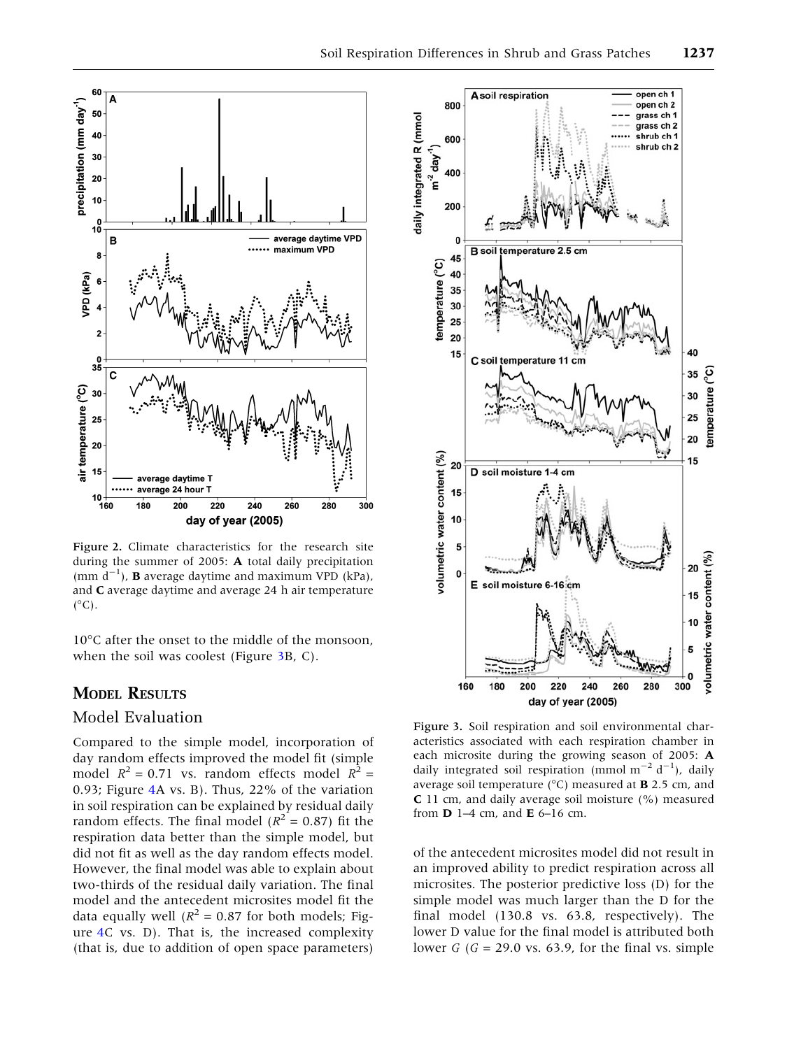<span id="page-7-0"></span>

Figure 2. Climate characteristics for the research site during the summer of 2005: A total daily precipitation (mm  $d^{-1}$ ), **B** average daytime and maximum VPD (kPa), and C average daytime and average 24 h air temperature  $(^{\circ}C)$ .

 $10^{\circ}$ C after the onset to the middle of the monsoon, when the soil was coolest (Figure 3B, C).

# MODEL RESULTS

# Model Evaluation

Compared to the simple model, incorporation of day random effects improved the model fit (simple model  $R^2 = 0.71$  vs. random effects model  $R^2 =$ 0.93; Figure [4A](#page-8-0) vs. B). Thus, 22% of the variation in soil respiration can be explained by residual daily random effects. The final model ( $R^2 = 0.87$ ) fit the respiration data better than the simple model, but did not fit as well as the day random effects model. However, the final model was able to explain about two-thirds of the residual daily variation. The final model and the antecedent microsites model fit the data equally well ( $R^2 = 0.87$  for both models; Figure [4C](#page-8-0) vs. D). That is, the increased complexity (that is, due to addition of open space parameters)



Figure 3. Soil respiration and soil environmental characteristics associated with each respiration chamber in each microsite during the growing season of 2005: A daily integrated soil respiration (mmol  $m^{-2} d^{-1}$ ), daily average soil temperature ( $^{\circ}$ C) measured at **B** 2.5 cm, and C 11 cm, and daily average soil moisture (%) measured from  $D$  1–4 cm, and  $E$  6–16 cm.

of the antecedent microsites model did not result in an improved ability to predict respiration across all microsites. The posterior predictive loss (D) for the simple model was much larger than the D for the final model (130.8 vs. 63.8, respectively). The lower D value for the final model is attributed both lower G ( $G = 29.0$  vs. 63.9, for the final vs. simple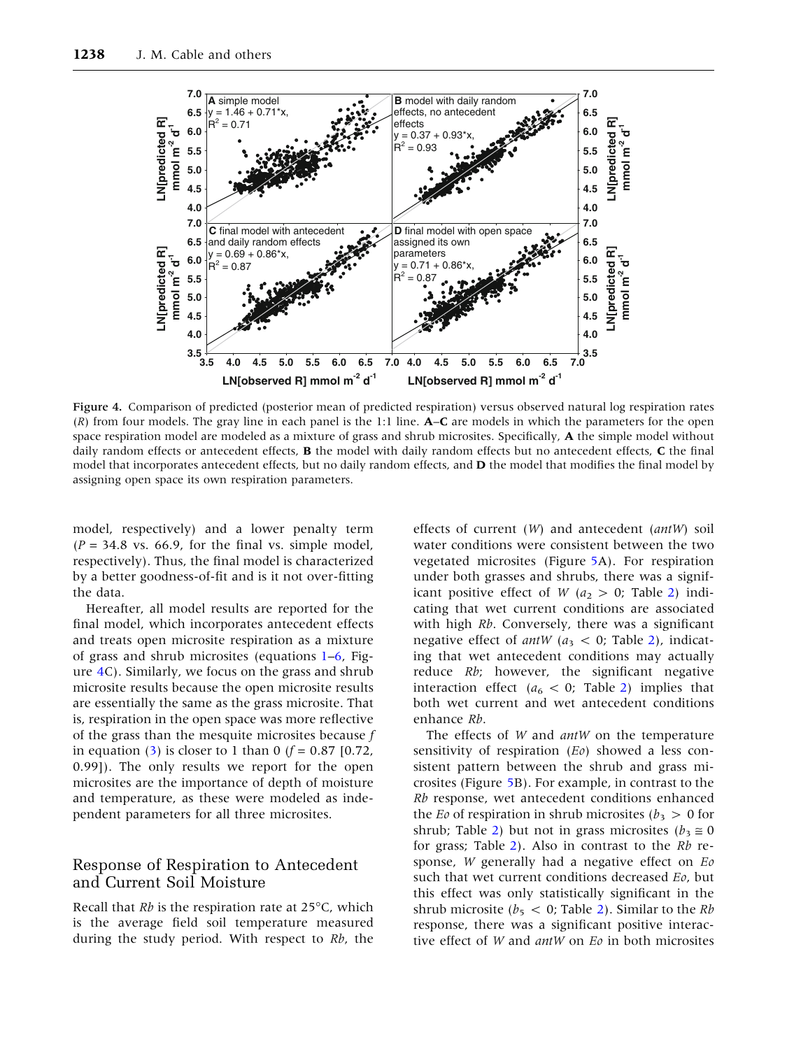<span id="page-8-0"></span>

Figure 4. Comparison of predicted (posterior mean of predicted respiration) versus observed natural log respiration rates  $(R)$  from four models. The gray line in each panel is the 1:1 line.  $A-C$  are models in which the parameters for the open space respiration model are modeled as a mixture of grass and shrub microsites. Specifically, A the simple model without daily random effects or antecedent effects, **B** the model with daily random effects but no antecedent effects, **C** the final model that incorporates antecedent effects, but no daily random effects, and **D** the model that modifies the final model by assigning open space its own respiration parameters.

model, respectively) and a lower penalty term  $(P = 34.8 \text{ vs. } 66.9, \text{ for the final vs. simple model},$ respectively). Thus, the final model is characterized by a better goodness-of-fit and is it not over-fitting the data.

Hereafter, all model results are reported for the final model, which incorporates antecedent effects and treats open microsite respiration as a mixture of grass and shrub microsites (equations [1–](#page-3-0)[6](#page-5-0), Figure 4C). Similarly, we focus on the grass and shrub microsite results because the open microsite results are essentially the same as the grass microsite. That is, respiration in the open space was more reflective of the grass than the mesquite microsites because  $f$ in equation ([3](#page-4-0)) is closer to 1 than 0 ( $f = 0.87$  [0.72, 0.99]). The only results we report for the open microsites are the importance of depth of moisture and temperature, as these were modeled as independent parameters for all three microsites.

# Response of Respiration to Antecedent and Current Soil Moisture

Recall that  $Rb$  is the respiration rate at 25 $\degree$ C, which is the average field soil temperature measured during the study period. With respect to Rb, the

effects of current (W) and antecedent (antW) soil water conditions were consistent between the two vegetated microsites (Figure [5](#page-9-0)A). For respiration under both grasses and shrubs, there was a significant positive effect of *W* ( $a_2 > 0$  $a_2 > 0$  $a_2 > 0$ ; Table 2) indicating that wet current conditions are associated with high Rb. Conversely, there was a significant negative effect of antW ( $a_3 < 0$ ; Table [2\)](#page-10-0), indicating that wet antecedent conditions may actually reduce Rb; however, the significant negative interaction effect ( $a_6 < 0$ ; Table [2](#page-10-0)) implies that both wet current and wet antecedent conditions enhance Rb.

The effects of  $W$  and  $antW$  on the temperature sensitivity of respiration  $(E_0)$  showed a less consistent pattern between the shrub and grass microsites (Figure [5](#page-9-0)B). For example, in contrast to the Rb response, wet antecedent conditions enhanced the Eo of respiration in shrub microsites ( $b_3 > 0$  for shrub; Table [2\)](#page-10-0) but not in grass microsites ( $b_3 \approx 0$ for grass; Table  $2$ ). Also in contrast to the Rb response, *W* generally had a negative effect on  $E_0$ such that wet current conditions decreased Eo, but this effect was only statistically significant in the shrub microsite ( $b_5 < 0$ ; Table [2\)](#page-10-0). Similar to the Rb response, there was a significant positive interactive effect of W and antW on Eo in both microsites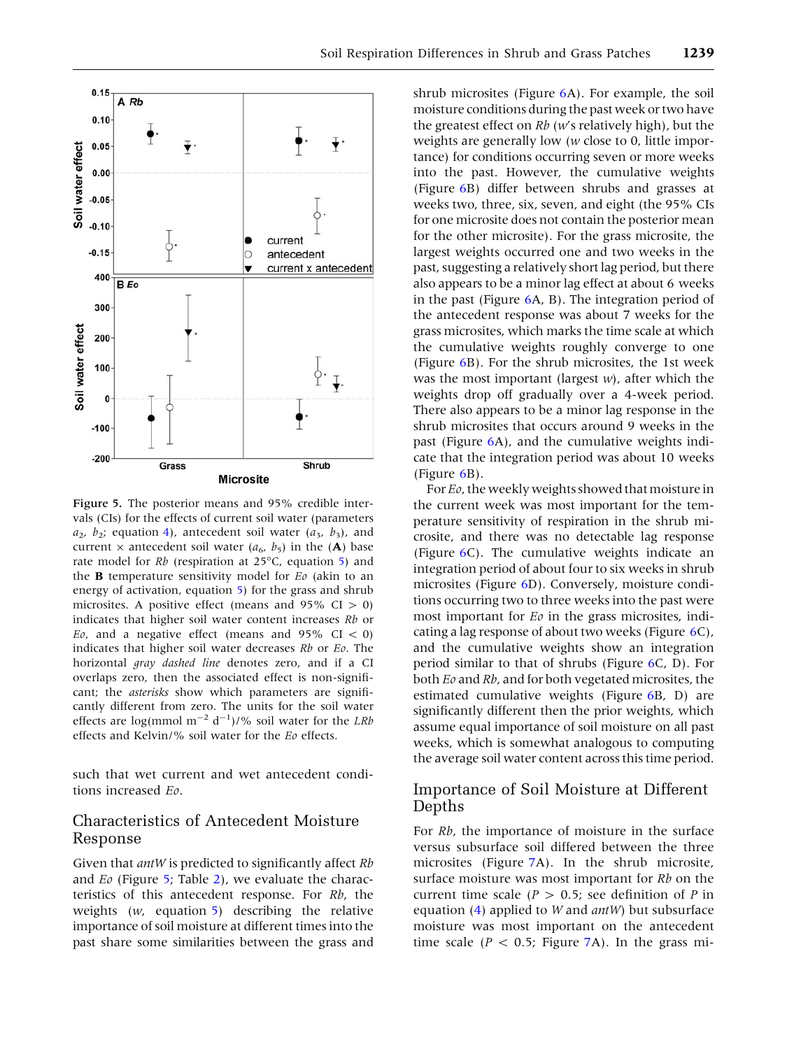<span id="page-9-0"></span>

Figure 5. The posterior means and 95% credible intervals (CIs) for the effects of current soil water (parameters  $a_2$ ,  $b_2$ ; equation [4\)](#page-4-0), antecedent soil water  $(a_3, b_3)$ , and current  $\times$  antecedent soil water ( $a_6$ ,  $b_5$ ) in the (**A**) base rate model for  $Rb$  (respiration at 2[5](#page-5-0)°C, equation 5) and the **B** temperature sensitivity model for  $E_0$  (akin to an energy of activation, equation [5](#page-5-0)) for the grass and shrub microsites. A positive effect (means and  $95\%$  CI  $> 0$ ) indicates that higher soil water content increases Rb or Eo, and a negative effect (means and  $95\%$  CI < 0) indicates that higher soil water decreases  $Rb$  or  $Eo$ . The horizontal gray dashed line denotes zero, and if a CI overlaps zero, then the associated effect is non-significant; the asterisks show which parameters are significantly different from zero. The units for the soil water effects are  $\log$ (mmol m<sup>-2</sup> d<sup>-1</sup>)/% soil water for the *LRb* effects and Kelvin/% soil water for the Eo effects.

such that wet current and wet antecedent conditions increased Eo.

# Characteristics of Antecedent Moisture Response

Given that *antW* is predicted to significantly affect Rb and  $E_0$  (Figure 5; Table [2](#page-10-0)), we evaluate the characteristics of this antecedent response. For Rb, the weights  $(w,$  equation [5\)](#page-5-0) describing the relative importance of soil moisture at different times into the past share some similarities between the grass and

shrub microsites (Figure [6A](#page-11-0)). For example, the soil moisture conditions during the past week or two have the greatest effect on Rb (w's relatively high), but the weights are generally low (w close to 0, little importance) for conditions occurring seven or more weeks into the past. However, the cumulative weights (Figure [6](#page-11-0)B) differ between shrubs and grasses at weeks two, three, six, seven, and eight (the 95% CIs for one microsite does not contain the posterior mean for the other microsite). For the grass microsite, the largest weights occurred one and two weeks in the past, suggesting a relatively short lag period, but there also appears to be a minor lag effect at about 6 weeks in the past (Figure [6](#page-11-0)A, B). The integration period of the antecedent response was about 7 weeks for the grass microsites, which marks the time scale at which the cumulative weights roughly converge to one (Figure [6](#page-11-0)B). For the shrub microsites, the 1st week was the most important (largest  $w$ ), after which the weights drop off gradually over a 4-week period. There also appears to be a minor lag response in the shrub microsites that occurs around 9 weeks in the past (Figure [6](#page-11-0)A), and the cumulative weights indicate that the integration period was about 10 weeks (Figure [6](#page-11-0)B).

For E<sub>o</sub>, the weekly weights showed that moisture in the current week was most important for the temperature sensitivity of respiration in the shrub microsite, and there was no detectable lag response (Figure [6](#page-11-0)C). The cumulative weights indicate an integration period of about four to six weeks in shrub microsites (Figure [6](#page-11-0)D). Conversely, moisture conditions occurring two to three weeks into the past were most important for  $E_0$  in the grass microsites, indicating a lag response of about two weeks (Figure [6C](#page-11-0)), and the cumulative weights show an integration period similar to that of shrubs (Figure [6](#page-11-0)C, D). For both Eo and Rb, and for both vegetated microsites, the estimated cumulative weights (Figure [6B](#page-11-0), D) are significantly different then the prior weights, which assume equal importance of soil moisture on all past weeks, which is somewhat analogous to computing the average soil water content across this time period.

# Importance of Soil Moisture at Different Depths

For Rb, the importance of moisture in the surface versus subsurface soil differed between the three microsites (Figure [7](#page-12-0)A). In the shrub microsite, surface moisture was most important for Rb on the current time scale ( $P > 0.5$ ; see definition of P in equation  $(4)$  $(4)$  $(4)$  applied to W and antW) but subsurface moisture was most important on the antecedent time scale ( $P < 0.5$ ; Figure [7](#page-12-0)A). In the grass mi-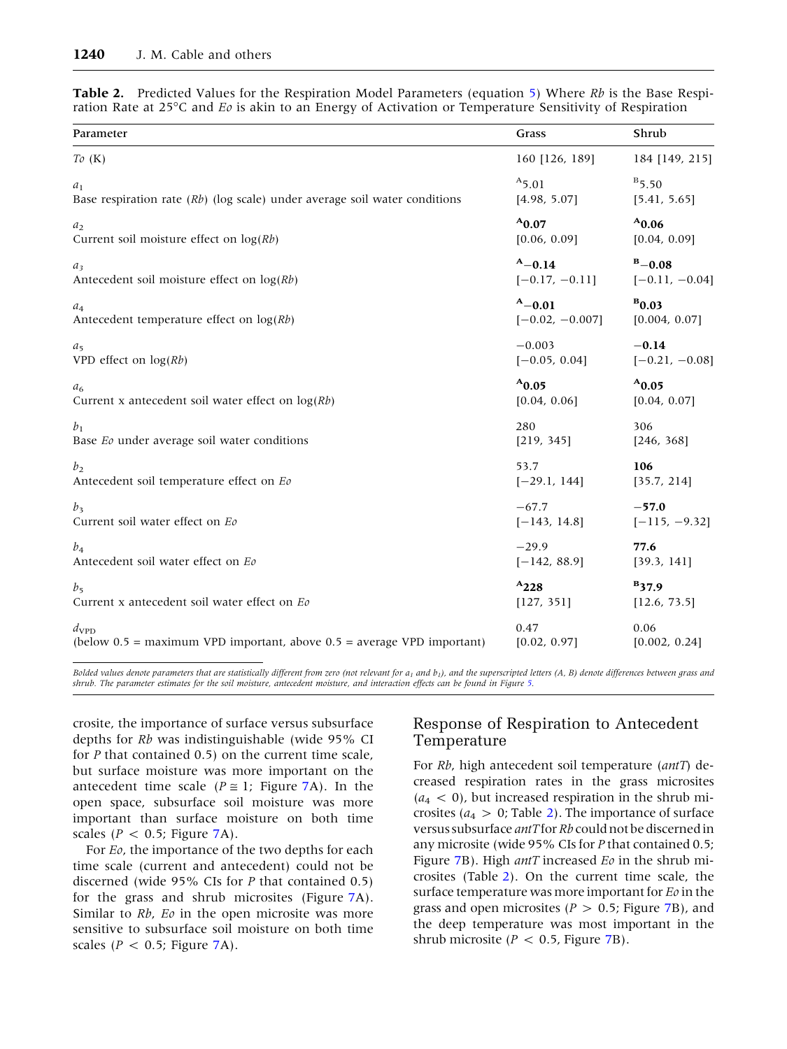<span id="page-10-0"></span>

|  |  |  |  | <b>Table 2.</b> Predicted Values for the Respiration Model Parameters (equation 5) Where Rb is the Base Respi-           |  |  |  |  |
|--|--|--|--|--------------------------------------------------------------------------------------------------------------------------|--|--|--|--|
|  |  |  |  | ration Rate at $25^{\circ}$ C and <i>Eo</i> is akin to an Energy of Activation or Temperature Sensitivity of Respiration |  |  |  |  |

| Parameter                                                                    | Grass             | Shrub            |
|------------------------------------------------------------------------------|-------------------|------------------|
| To(K)                                                                        | 160 [126, 189]    | 184 [149, 215]   |
| $a_1$                                                                        | $A_{5,01}$        | $B_{5.50}$       |
| Base respiration rate $(Rb)$ (log scale) under average soil water conditions | [4.98, 5.07]      | [5.41, 5.65]     |
| a <sub>2</sub>                                                               | $^{A}$ 0.07       | $A_{0.06}$       |
| Current soil moisture effect on $log(Rb)$                                    | [0.06, 0.09]      | [0.04, 0.09]     |
| $a_3$                                                                        | $A_{-0.14}$       | $B - 0.08$       |
| Antecedent soil moisture effect on $log(Rb)$                                 | $[-0.17, -0.11]$  | $[-0.11, -0.04]$ |
| $a_4$                                                                        | $A_{-0.01}$       | $B_{0.03}$       |
| Antecedent temperature effect on $log(Rb)$                                   | $[-0.02, -0.007]$ | [0.004, 0.07]    |
| a <sub>5</sub>                                                               | $-0.003$          | $-0.14$          |
| VPD effect on $log(Rb)$                                                      | $[-0.05, 0.04]$   | $[-0.21, -0.08]$ |
| a <sub>6</sub>                                                               | $A_{0.05}$        | $A_{0.05}$       |
| Current x antecedent soil water effect on $log(Rb)$                          | [0.04, 0.06]      | [0.04, 0.07]     |
| b <sub>1</sub>                                                               | 280               | 306              |
| Base Eo under average soil water conditions                                  | [219, 345]        | [246, 368]       |
| b <sub>2</sub>                                                               | 53.7              | 106              |
| Antecedent soil temperature effect on Eo                                     | $[-29.1, 144]$    | [35.7, 214]      |
| $b_3$                                                                        | $-67.7$           | $-57.0$          |
| Current soil water effect on Eo                                              | $[-143, 14.8]$    | $[-115, -9.32]$  |
| $b_4$                                                                        | $-29.9$           | 77.6             |
| Antecedent soil water effect on Eo                                           | $[-142, 88.9]$    | [39.3, 141]      |
| $b_{5}$                                                                      | $A_{228}$         | $B_{37.9}$       |
| Current x antecedent soil water effect on Eo                                 | [127, 351]        | [12.6, 73.5]     |
| $d_{\rm VPD}$                                                                | 0.47              | 0.06             |
| (below $0.5$ = maximum VPD important, above $0.5$ = average VPD important)   | [0.02, 0.97]      | [0.002, 0.24]    |

Bolded values denote parameters that are statistically different from zero (not relevant for a<sub>1</sub> and b<sub>1</sub>), and the superscripted letters (A, B) denote differences between grass and shrub. The parameter estimates for the soil moisture, antecedent moisture, and interaction effects can be found in Figure [5](#page-9-0).

crosite, the importance of surface versus subsurface depths for Rb was indistinguishable (wide 95% CI for P that contained 0.5) on the current time scale, but surface moisture was more important on the antecedent time scale ( $P \cong 1$ ; Figure [7](#page-12-0)A). In the open space, subsurface soil moisture was more important than surface moisture on both time scales ( $P < 0.5$ ; Figure [7](#page-12-0)A).

For *Eo*, the importance of the two depths for each time scale (current and antecedent) could not be discerned (wide  $95\%$  CIs for *P* that contained 0.5) for the grass and shrub microsites (Figure [7](#page-12-0)A). Similar to Rb, Eo in the open microsite was more sensitive to subsurface soil moisture on both time scales ( $P < 0.5$ ; Figure [7](#page-12-0)A).

# Response of Respiration to Antecedent Temperature

For Rb, high antecedent soil temperature (antT) decreased respiration rates in the grass microsites  $(a<sub>4</sub> < 0)$ , but increased respiration in the shrub microsites ( $a_4 > 0$ ; Table 2). The importance of surface versus subsurface antT for Rb could not be discerned in any microsite (wide 95% CIs for P that contained 0.5; Figure [7](#page-12-0)B). High *antT* increased  $E_0$  in the shrub microsites (Table 2). On the current time scale, the surface temperature was more important for  $E$ o in the grass and open microsites ( $P > 0.5$ ; Figure [7B](#page-12-0)), and the deep temperature was most important in the shrub microsite ( $P < 0.5$ , Figure [7](#page-12-0)B).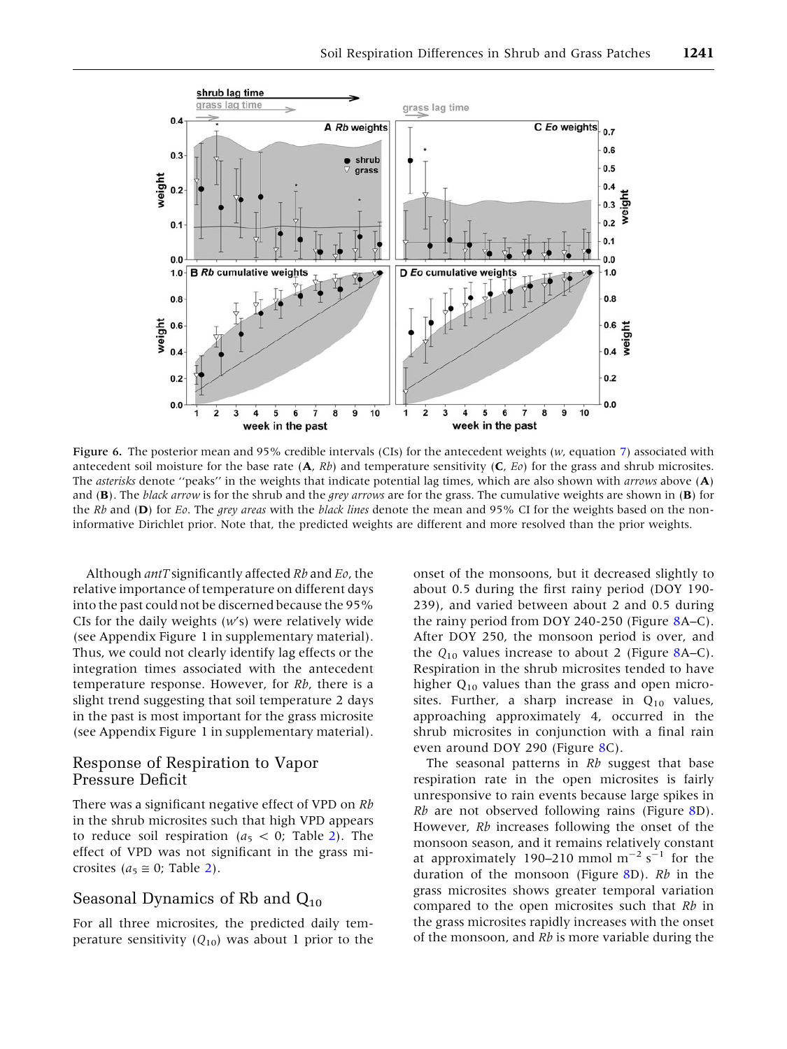<span id="page-11-0"></span>

Figure 6. The posterior mean and 95% credible intervals (CIs) for the antecedent weights  $(w,$  equation [7\)](#page-5-0) associated with antecedent soil moisture for the base rate  $(A, Rb)$  and temperature sensitivity  $(C, E_0)$  for the grass and shrub microsites. The *asterisks* denote "peaks" in the weights that indicate potential lag times, which are also shown with *arrows* above  $(A)$ and (B). The *black arrow* is for the shrub and the *grey arrows* are for the grass. The cumulative weights are shown in (B) for the Rb and  $(D)$  for Eo. The grey areas with the black lines denote the mean and 95% CI for the weights based on the noninformative Dirichlet prior. Note that, the predicted weights are different and more resolved than the prior weights.

Although *antT* significantly affected Rb and Eo, the relative importance of temperature on different days into the past could not be discerned because the 95% CIs for the daily weights  $(w's)$  were relatively wide (see Appendix Figure 1 in supplementary material). Thus, we could not clearly identify lag effects or the integration times associated with the antecedent temperature response. However, for Rb, there is a slight trend suggesting that soil temperature 2 days in the past is most important for the grass microsite (see Appendix Figure 1 in supplementary material).

# Response of Respiration to Vapor Pressure Deficit

There was a significant negative effect of VPD on  $Rb$ in the shrub microsites such that high VPD appears to reduce soil respiration ( $a_5 < 0$ ; Table [2](#page-10-0)). The effect of VPD was not significant in the grass microsites ( $a_5 \approx 0$ ; Table [2](#page-10-0)).

# Seasonal Dynamics of Rb and  $Q_{10}$

For all three microsites, the predicted daily temperature sensitivity  $(Q_{10})$  was about 1 prior to the

onset of the monsoons, but it decreased slightly to about 0.5 during the first rainy period (DOY 190- 239), and varied between about 2 and 0.5 during the rainy period from DOY 240-250 (Figure [8A](#page-13-0)–C). After DOY 250, the monsoon period is over, and the  $Q_{10}$  values increase to about 2 (Figure [8A](#page-13-0)–C). Respiration in the shrub microsites tended to have higher  $Q_{10}$  values than the grass and open microsites. Further, a sharp increase in  $Q_{10}$  values, approaching approximately 4, occurred in the shrub microsites in conjunction with a final rain even around DOY 290 (Figure [8](#page-13-0)C).

The seasonal patterns in  $Rb$  suggest that base respiration rate in the open microsites is fairly unresponsive to rain events because large spikes in Rb are not observed following rains (Figure [8](#page-13-0)D). However, Rb increases following the onset of the monsoon season, and it remains relatively constant at approximately 190–210 mmol  $m^{-2} s^{-1}$  for the duration of the monsoon (Figure  $8D$ ).  $Rb$  in the grass microsites shows greater temporal variation compared to the open microsites such that Rb in the grass microsites rapidly increases with the onset of the monsoon, and  $Rb$  is more variable during the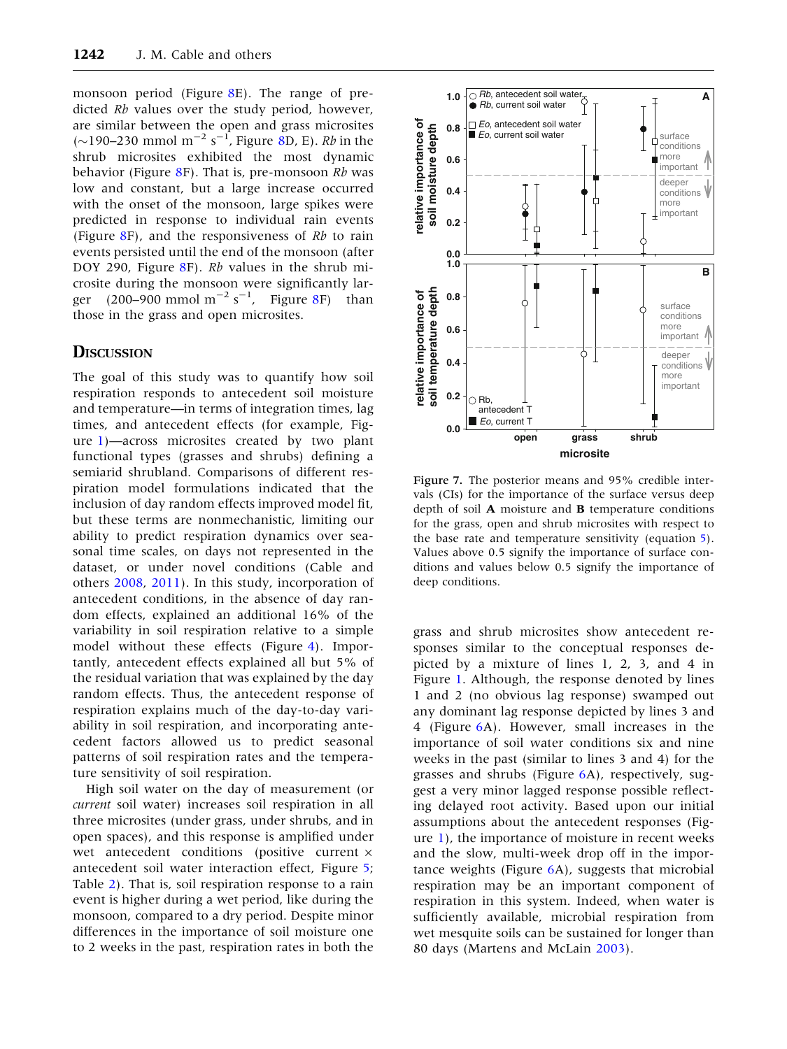<span id="page-12-0"></span>monsoon period (Figure [8](#page-13-0)E). The range of predicted Rb values over the study period, however, are similar between the open and grass microsites ( $\sim$ 190–230 mmol m<sup>-2</sup> s<sup>-1</sup>, Figure [8](#page-13-0)D, E). *Rb* in the shrub microsites exhibited the most dynamic behavior (Figure  $8F$ ). That is, pre-monsoon  $Rb$  was low and constant, but a large increase occurred with the onset of the monsoon, large spikes were predicted in response to individual rain events (Figure  $8F$ ), and the responsiveness of Rb to rain events persisted until the end of the monsoon (after DOY 290, Figure [8F](#page-13-0)). Rb values in the shrub microsite during the monsoon were significantly larger  $(200-900 \text{ mmol m}^{-2} \text{ s}^{-1}$ , Figure [8](#page-13-0)F) than those in the grass and open microsites.

#### **DISCUSSION**

The goal of this study was to quantify how soil respiration responds to antecedent soil moisture and temperature—in terms of integration times, lag times, and antecedent effects (for example, Figure [1\)](#page-1-0)—across microsites created by two plant functional types (grasses and shrubs) defining a semiarid shrubland. Comparisons of different respiration model formulations indicated that the inclusion of day random effects improved model fit, but these terms are nonmechanistic, limiting our ability to predict respiration dynamics over seasonal time scales, on days not represented in the dataset, or under novel conditions (Cable and others [2008](#page-16-0), [2011](#page-16-0)). In this study, incorporation of antecedent conditions, in the absence of day random effects, explained an additional 16% of the variability in soil respiration relative to a simple model without these effects (Figure [4\)](#page-8-0). Importantly, antecedent effects explained all but 5% of the residual variation that was explained by the day random effects. Thus, the antecedent response of respiration explains much of the day-to-day variability in soil respiration, and incorporating antecedent factors allowed us to predict seasonal patterns of soil respiration rates and the temperature sensitivity of soil respiration.

High soil water on the day of measurement (or current soil water) increases soil respiration in all three microsites (under grass, under shrubs, and in open spaces), and this response is amplified under wet antecedent conditions (positive current  $\times$ antecedent soil water interaction effect, Figure [5](#page-9-0); Table [2](#page-10-0)). That is, soil respiration response to a rain event is higher during a wet period, like during the monsoon, compared to a dry period. Despite minor differences in the importance of soil moisture one to 2 weeks in the past, respiration rates in both the



Figure 7. The posterior means and 95% credible intervals (CIs) for the importance of the surface versus deep depth of soil **A** moisture and **B** temperature conditions for the grass, open and shrub microsites with respect to the base rate and temperature sensitivity (equation [5](#page-5-0)). Values above 0.5 signify the importance of surface conditions and values below 0.5 signify the importance of deep conditions.

grass and shrub microsites show antecedent responses similar to the conceptual responses depicted by a mixture of lines 1, 2, 3, and 4 in Figure [1](#page-1-0). Although, the response denoted by lines 1 and 2 (no obvious lag response) swamped out any dominant lag response depicted by lines 3 and 4 (Figure [6A](#page-11-0)). However, small increases in the importance of soil water conditions six and nine weeks in the past (similar to lines 3 and 4) for the grasses and shrubs (Figure [6](#page-11-0)A), respectively, suggest a very minor lagged response possible reflecting delayed root activity. Based upon our initial assumptions about the antecedent responses (Figure [1\)](#page-1-0), the importance of moisture in recent weeks and the slow, multi-week drop off in the importance weights (Figure [6A](#page-11-0)), suggests that microbial respiration may be an important component of respiration in this system. Indeed, when water is sufficiently available, microbial respiration from wet mesquite soils can be sustained for longer than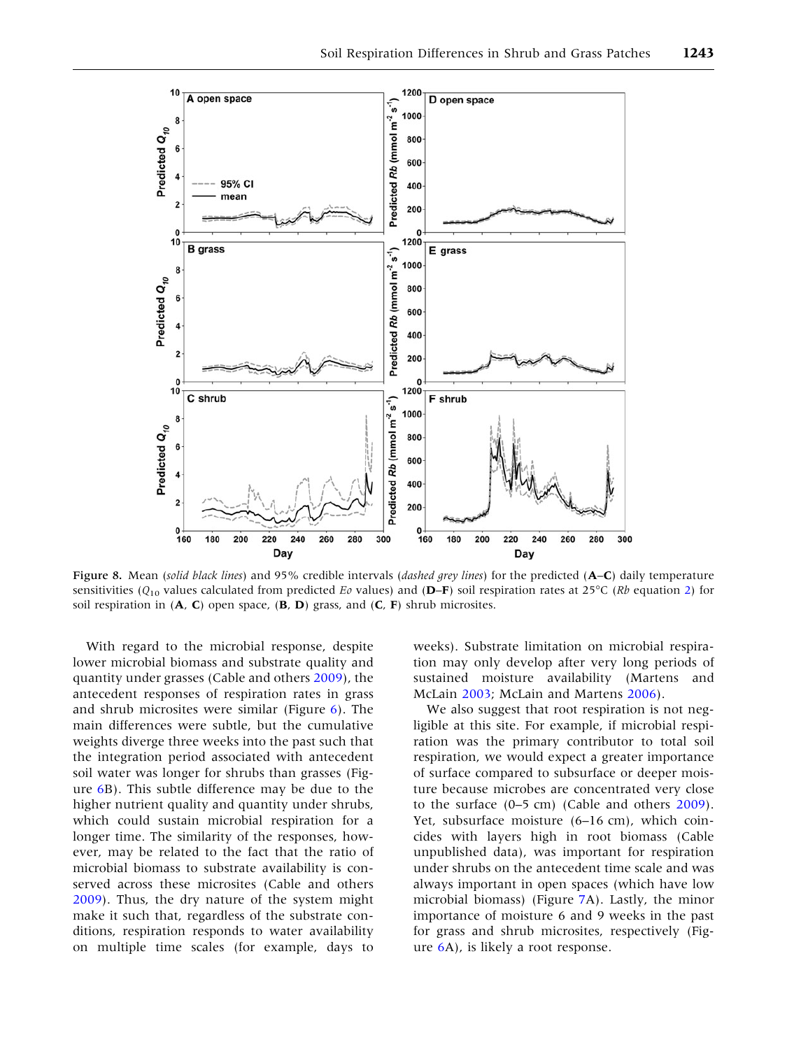<span id="page-13-0"></span>

Figure 8. Mean (solid black lines) and 95% credible intervals (dashed grey lines) for the predicted (A–C) daily temperature sensitivities ( $Q_{10}$  values calculated from predicted E<sub>o</sub> values) and (D–F) soil respiration rates at 25<sup>o</sup>C (Rb equation [2\)](#page-4-0) for soil respiration in  $(A, C)$  open space,  $(B, D)$  grass, and  $(C, F)$  shrub microsites.

With regard to the microbial response, despite lower microbial biomass and substrate quality and quantity under grasses (Cable and others [2009\)](#page-16-0), the antecedent responses of respiration rates in grass and shrub microsites were similar (Figure [6\)](#page-11-0). The main differences were subtle, but the cumulative weights diverge three weeks into the past such that the integration period associated with antecedent soil water was longer for shrubs than grasses (Figure [6B](#page-11-0)). This subtle difference may be due to the higher nutrient quality and quantity under shrubs, which could sustain microbial respiration for a longer time. The similarity of the responses, however, may be related to the fact that the ratio of microbial biomass to substrate availability is conserved across these microsites (Cable and others [2009\)](#page-16-0). Thus, the dry nature of the system might make it such that, regardless of the substrate conditions, respiration responds to water availability on multiple time scales (for example, days to

weeks). Substrate limitation on microbial respiration may only develop after very long periods of sustained moisture availability (Martens and McLain [2003;](#page-16-0) McLain and Martens [2006](#page-16-0)).

We also suggest that root respiration is not negligible at this site. For example, if microbial respiration was the primary contributor to total soil respiration, we would expect a greater importance of surface compared to subsurface or deeper moisture because microbes are concentrated very close to the surface (0–5 cm) (Cable and others [2009](#page-16-0)). Yet, subsurface moisture (6–16 cm), which coincides with layers high in root biomass (Cable unpublished data), was important for respiration under shrubs on the antecedent time scale and was always important in open spaces (which have low microbial biomass) (Figure [7](#page-12-0)A). Lastly, the minor importance of moisture 6 and 9 weeks in the past for grass and shrub microsites, respectively (Figure [6A](#page-11-0)), is likely a root response.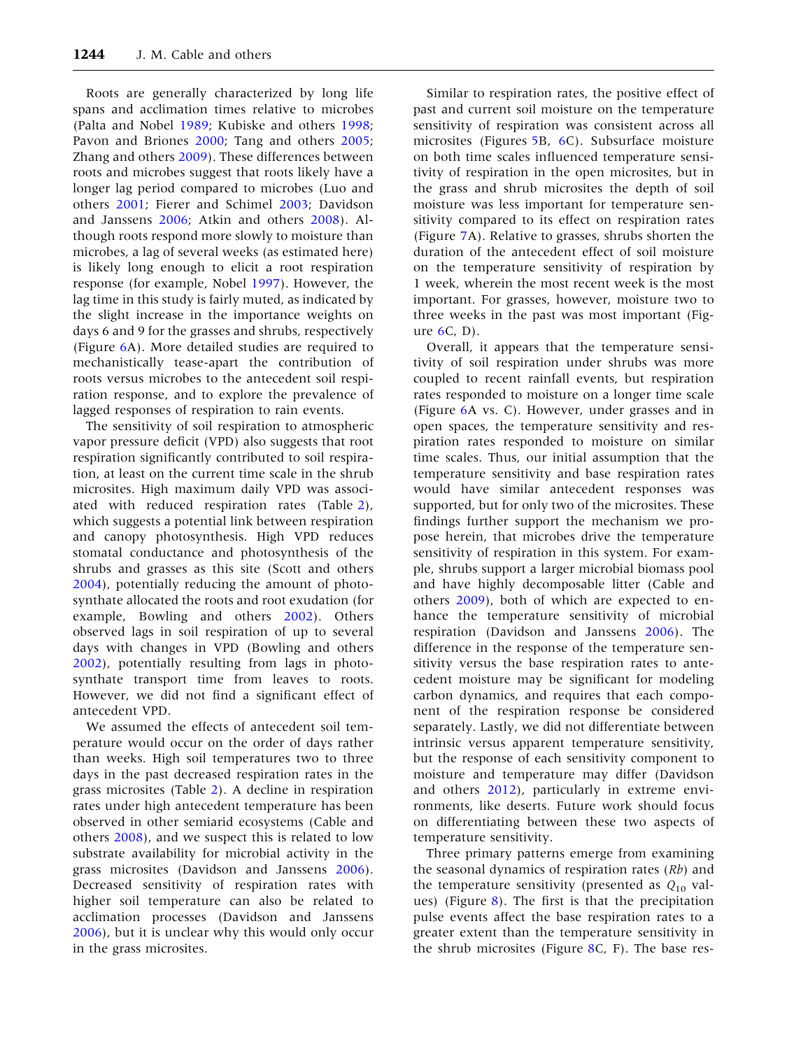Roots are generally characterized by long life spans and acclimation times relative to microbes (Palta and Nobel [1989](#page-17-0); Kubiske and others [1998](#page-16-0); Pavon and Briones [2000](#page-17-0); Tang and others [2005](#page-17-0); Zhang and others [2009\)](#page-17-0). These differences between roots and microbes suggest that roots likely have a longer lag period compared to microbes (Luo and others [2001;](#page-16-0) Fierer and Schimel [2003;](#page-16-0) Davidson and Janssens [2006](#page-16-0); Atkin and others [2008](#page-16-0)). Although roots respond more slowly to moisture than microbes, a lag of several weeks (as estimated here) is likely long enough to elicit a root respiration response (for example, Nobel [1997\)](#page-16-0). However, the lag time in this study is fairly muted, as indicated by the slight increase in the importance weights on days 6 and 9 for the grasses and shrubs, respectively (Figure [6A](#page-11-0)). More detailed studies are required to mechanistically tease-apart the contribution of roots versus microbes to the antecedent soil respiration response, and to explore the prevalence of lagged responses of respiration to rain events.

The sensitivity of soil respiration to atmospheric vapor pressure deficit (VPD) also suggests that root respiration significantly contributed to soil respiration, at least on the current time scale in the shrub microsites. High maximum daily VPD was associated with reduced respiration rates (Table [2](#page-10-0)), which suggests a potential link between respiration and canopy photosynthesis. High VPD reduces stomatal conductance and photosynthesis of the shrubs and grasses as this site (Scott and others [2004\)](#page-17-0), potentially reducing the amount of photosynthate allocated the roots and root exudation (for example, Bowling and others [2002](#page-16-0)). Others observed lags in soil respiration of up to several days with changes in VPD (Bowling and others [2002\)](#page-16-0), potentially resulting from lags in photosynthate transport time from leaves to roots. However, we did not find a significant effect of antecedent VPD.

We assumed the effects of antecedent soil temperature would occur on the order of days rather than weeks. High soil temperatures two to three days in the past decreased respiration rates in the grass microsites (Table [2\)](#page-10-0). A decline in respiration rates under high antecedent temperature has been observed in other semiarid ecosystems (Cable and others [2008\)](#page-16-0), and we suspect this is related to low substrate availability for microbial activity in the grass microsites (Davidson and Janssens [2006](#page-16-0)). Decreased sensitivity of respiration rates with higher soil temperature can also be related to acclimation processes (Davidson and Janssens [2006\)](#page-16-0), but it is unclear why this would only occur in the grass microsites.

Similar to respiration rates, the positive effect of past and current soil moisture on the temperature sensitivity of respiration was consistent across all microsites (Figures [5B](#page-9-0), [6](#page-11-0)C). Subsurface moisture on both time scales influenced temperature sensitivity of respiration in the open microsites, but in the grass and shrub microsites the depth of soil moisture was less important for temperature sensitivity compared to its effect on respiration rates (Figure [7A](#page-12-0)). Relative to grasses, shrubs shorten the duration of the antecedent effect of soil moisture on the temperature sensitivity of respiration by 1 week, wherein the most recent week is the most important. For grasses, however, moisture two to three weeks in the past was most important (Figure [6C](#page-11-0), D).

Overall, it appears that the temperature sensitivity of soil respiration under shrubs was more coupled to recent rainfall events, but respiration rates responded to moisture on a longer time scale (Figure [6A](#page-11-0) vs. C). However, under grasses and in open spaces, the temperature sensitivity and respiration rates responded to moisture on similar time scales. Thus, our initial assumption that the temperature sensitivity and base respiration rates would have similar antecedent responses was supported, but for only two of the microsites. These findings further support the mechanism we propose herein, that microbes drive the temperature sensitivity of respiration in this system. For example, shrubs support a larger microbial biomass pool and have highly decomposable litter (Cable and others [2009](#page-16-0)), both of which are expected to enhance the temperature sensitivity of microbial respiration (Davidson and Janssens [2006\)](#page-16-0). The difference in the response of the temperature sensitivity versus the base respiration rates to antecedent moisture may be significant for modeling carbon dynamics, and requires that each component of the respiration response be considered separately. Lastly, we did not differentiate between intrinsic versus apparent temperature sensitivity, but the response of each sensitivity component to moisture and temperature may differ (Davidson and others [2012\)](#page-16-0), particularly in extreme environments, like deserts. Future work should focus on differentiating between these two aspects of temperature sensitivity.

Three primary patterns emerge from examining the seasonal dynamics of respiration rates  $(Rb)$  and the temperature sensitivity (presented as  $Q_{10}$  values) (Figure  $8$ ). The first is that the precipitation pulse events affect the base respiration rates to a greater extent than the temperature sensitivity in the shrub microsites (Figure [8](#page-13-0)C, F). The base res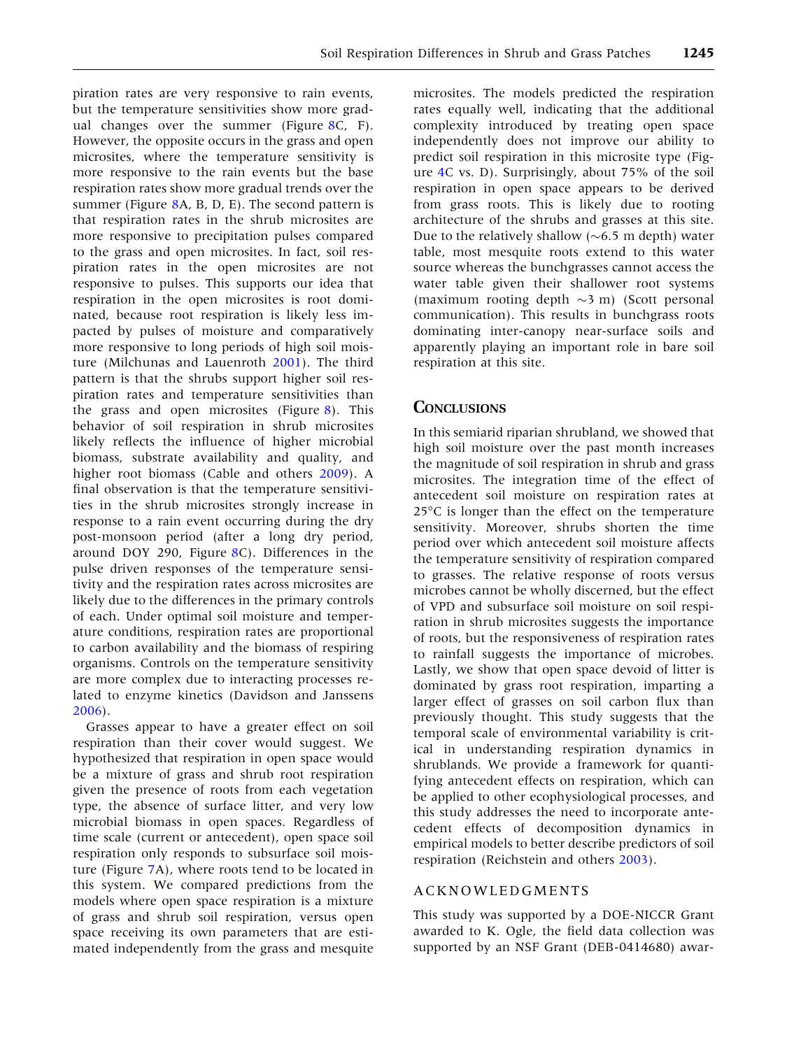piration rates are very responsive to rain events, but the temperature sensitivities show more gradual changes over the summer (Figure  $8C$  $8C$ , F). However, the opposite occurs in the grass and open microsites, where the temperature sensitivity is more responsive to the rain events but the base respiration rates show more gradual trends over the summer (Figure [8](#page-13-0)A, B, D, E). The second pattern is that respiration rates in the shrub microsites are more responsive to precipitation pulses compared to the grass and open microsites. In fact, soil respiration rates in the open microsites are not responsive to pulses. This supports our idea that respiration in the open microsites is root dominated, because root respiration is likely less impacted by pulses of moisture and comparatively more responsive to long periods of high soil moisture (Milchunas and Lauenroth [2001\)](#page-16-0). The third pattern is that the shrubs support higher soil respiration rates and temperature sensitivities than the grass and open microsites (Figure [8](#page-13-0)). This behavior of soil respiration in shrub microsites likely reflects the influence of higher microbial biomass, substrate availability and quality, and higher root biomass (Cable and others [2009](#page-16-0)). A final observation is that the temperature sensitivities in the shrub microsites strongly increase in response to a rain event occurring during the dry post-monsoon period (after a long dry period, around DOY 290, Figure [8](#page-13-0)C). Differences in the pulse driven responses of the temperature sensitivity and the respiration rates across microsites are likely due to the differences in the primary controls of each. Under optimal soil moisture and temperature conditions, respiration rates are proportional to carbon availability and the biomass of respiring organisms. Controls on the temperature sensitivity are more complex due to interacting processes related to enzyme kinetics (Davidson and Janssens [2006\)](#page-16-0).

Grasses appear to have a greater effect on soil respiration than their cover would suggest. We hypothesized that respiration in open space would be a mixture of grass and shrub root respiration given the presence of roots from each vegetation type, the absence of surface litter, and very low microbial biomass in open spaces. Regardless of time scale (current or antecedent), open space soil respiration only responds to subsurface soil moisture (Figure [7](#page-12-0)A), where roots tend to be located in this system. We compared predictions from the models where open space respiration is a mixture of grass and shrub soil respiration, versus open space receiving its own parameters that are estimated independently from the grass and mesquite

microsites. The models predicted the respiration rates equally well, indicating that the additional complexity introduced by treating open space independently does not improve our ability to predict soil respiration in this microsite type (Figure [4C](#page-8-0) vs. D). Surprisingly, about 75% of the soil respiration in open space appears to be derived from grass roots. This is likely due to rooting architecture of the shrubs and grasses at this site. Due to the relatively shallow  $(\sim 6.5 \text{ m depth})$  water table, most mesquite roots extend to this water source whereas the bunchgrasses cannot access the water table given their shallower root systems (maximum rooting depth  $\sim$ 3 m) (Scott personal communication). This results in bunchgrass roots dominating inter-canopy near-surface soils and apparently playing an important role in bare soil respiration at this site.

### **CONCLUSIONS**

In this semiarid riparian shrubland, we showed that high soil moisture over the past month increases the magnitude of soil respiration in shrub and grass microsites. The integration time of the effect of antecedent soil moisture on respiration rates at  $25^{\circ}$ C is longer than the effect on the temperature sensitivity. Moreover, shrubs shorten the time period over which antecedent soil moisture affects the temperature sensitivity of respiration compared to grasses. The relative response of roots versus microbes cannot be wholly discerned, but the effect of VPD and subsurface soil moisture on soil respiration in shrub microsites suggests the importance of roots, but the responsiveness of respiration rates to rainfall suggests the importance of microbes. Lastly, we show that open space devoid of litter is dominated by grass root respiration, imparting a larger effect of grasses on soil carbon flux than previously thought. This study suggests that the temporal scale of environmental variability is critical in understanding respiration dynamics in shrublands. We provide a framework for quantifying antecedent effects on respiration, which can be applied to other ecophysiological processes, and this study addresses the need to incorporate antecedent effects of decomposition dynamics in empirical models to better describe predictors of soil respiration (Reichstein and others [2003](#page-17-0)).

#### ACKNOWLEDGMENTS

This study was supported by a DOE-NICCR Grant awarded to K. Ogle, the field data collection was supported by an NSF Grant (DEB-0414680) awar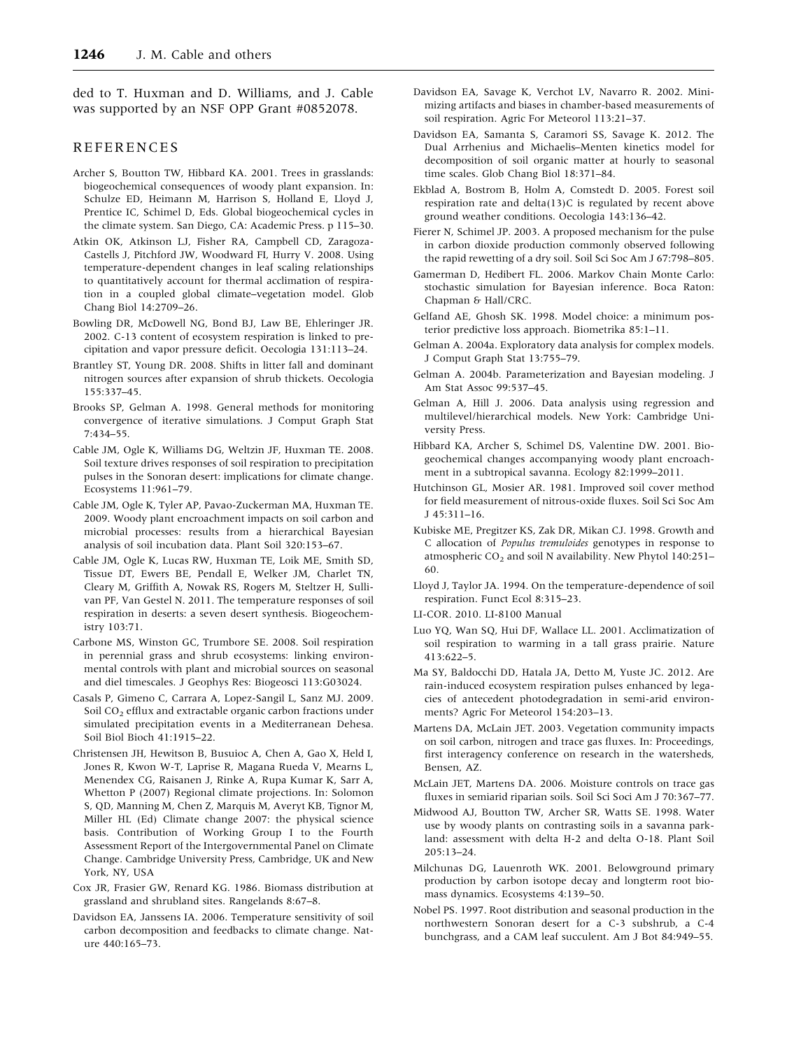<span id="page-16-0"></span>ded to T. Huxman and D. Williams, and J. Cable was supported by an NSF OPP Grant #0852078.

#### REFERENCES

- Archer S, Boutton TW, Hibbard KA. 2001. Trees in grasslands: biogeochemical consequences of woody plant expansion. In: Schulze ED, Heimann M, Harrison S, Holland E, Lloyd J, Prentice IC, Schimel D, Eds. Global biogeochemical cycles in the climate system. San Diego, CA: Academic Press. p 115–30.
- Atkin OK, Atkinson LJ, Fisher RA, Campbell CD, Zaragoza-Castells J, Pitchford JW, Woodward FI, Hurry V. 2008. Using temperature-dependent changes in leaf scaling relationships to quantitatively account for thermal acclimation of respiration in a coupled global climate–vegetation model. Glob Chang Biol 14:2709–26.
- Bowling DR, McDowell NG, Bond BJ, Law BE, Ehleringer JR. 2002. C-13 content of ecosystem respiration is linked to precipitation and vapor pressure deficit. Oecologia 131:113–24.
- Brantley ST, Young DR. 2008. Shifts in litter fall and dominant nitrogen sources after expansion of shrub thickets. Oecologia 155:337–45.
- Brooks SP, Gelman A. 1998. General methods for monitoring convergence of iterative simulations. J Comput Graph Stat 7:434–55.
- Cable JM, Ogle K, Williams DG, Weltzin JF, Huxman TE. 2008. Soil texture drives responses of soil respiration to precipitation pulses in the Sonoran desert: implications for climate change. Ecosystems 11:961–79.
- Cable JM, Ogle K, Tyler AP, Pavao-Zuckerman MA, Huxman TE. 2009. Woody plant encroachment impacts on soil carbon and microbial processes: results from a hierarchical Bayesian analysis of soil incubation data. Plant Soil 320:153–67.
- Cable JM, Ogle K, Lucas RW, Huxman TE, Loik ME, Smith SD, Tissue DT, Ewers BE, Pendall E, Welker JM, Charlet TN, Cleary M, Griffith A, Nowak RS, Rogers M, Steltzer H, Sullivan PF, Van Gestel N. 2011. The temperature responses of soil respiration in deserts: a seven desert synthesis. Biogeochemistry 103:71.
- Carbone MS, Winston GC, Trumbore SE. 2008. Soil respiration in perennial grass and shrub ecosystems: linking environmental controls with plant and microbial sources on seasonal and diel timescales. J Geophys Res: Biogeosci 113:G03024.
- Casals P, Gimeno C, Carrara A, Lopez-Sangil L, Sanz MJ. 2009. Soil CO<sub>2</sub> efflux and extractable organic carbon fractions under simulated precipitation events in a Mediterranean Dehesa. Soil Biol Bioch 41:1915–22.
- Christensen JH, Hewitson B, Busuioc A, Chen A, Gao X, Held I, Jones R, Kwon W-T, Laprise R, Magana Rueda V, Mearns L, Menendex CG, Raisanen J, Rinke A, Rupa Kumar K, Sarr A, Whetton P (2007) Regional climate projections. In: Solomon S, QD, Manning M, Chen Z, Marquis M, Averyt KB, Tignor M, Miller HL (Ed) Climate change 2007: the physical science basis. Contribution of Working Group I to the Fourth Assessment Report of the Intergovernmental Panel on Climate Change. Cambridge University Press, Cambridge, UK and New York, NY, USA
- Cox JR, Frasier GW, Renard KG. 1986. Biomass distribution at grassland and shrubland sites. Rangelands 8:67–8.
- Davidson EA, Janssens IA. 2006. Temperature sensitivity of soil carbon decomposition and feedbacks to climate change. Nature 440:165–73.
- Davidson EA, Savage K, Verchot LV, Navarro R. 2002. Minimizing artifacts and biases in chamber-based measurements of soil respiration. Agric For Meteorol 113:21–37.
- Davidson EA, Samanta S, Caramori SS, Savage K. 2012. The Dual Arrhenius and Michaelis–Menten kinetics model for decomposition of soil organic matter at hourly to seasonal time scales. Glob Chang Biol 18:371–84.
- Ekblad A, Bostrom B, Holm A, Comstedt D. 2005. Forest soil respiration rate and delta(13)C is regulated by recent above ground weather conditions. Oecologia 143:136–42.
- Fierer N, Schimel JP. 2003. A proposed mechanism for the pulse in carbon dioxide production commonly observed following the rapid rewetting of a dry soil. Soil Sci Soc Am J 67:798–805.
- Gamerman D, Hedibert FL. 2006. Markov Chain Monte Carlo: stochastic simulation for Bayesian inference. Boca Raton: Chapman & Hall/CRC.
- Gelfand AE, Ghosh SK. 1998. Model choice: a minimum posterior predictive loss approach. Biometrika 85:1–11.
- Gelman A. 2004a. Exploratory data analysis for complex models. J Comput Graph Stat 13:755–79.
- Gelman A. 2004b. Parameterization and Bayesian modeling. J Am Stat Assoc 99:537–45.
- Gelman A, Hill J. 2006. Data analysis using regression and multilevel/hierarchical models. New York: Cambridge University Press.
- Hibbard KA, Archer S, Schimel DS, Valentine DW. 2001. Biogeochemical changes accompanying woody plant encroachment in a subtropical savanna. Ecology 82:1999–2011.
- Hutchinson GL, Mosier AR. 1981. Improved soil cover method for field measurement of nitrous-oxide fluxes. Soil Sci Soc Am J 45:311–16.
- Kubiske ME, Pregitzer KS, Zak DR, Mikan CJ. 1998. Growth and C allocation of Populus tremuloides genotypes in response to atmospheric CO<sub>2</sub> and soil N availability. New Phytol 140:251-60.
- Lloyd J, Taylor JA. 1994. On the temperature-dependence of soil respiration. Funct Ecol 8:315–23.
- LI-COR. 2010. LI-8100 Manual
- Luo YQ, Wan SQ, Hui DF, Wallace LL. 2001. Acclimatization of soil respiration to warming in a tall grass prairie. Nature 413:622–5.
- Ma SY, Baldocchi DD, Hatala JA, Detto M, Yuste JC. 2012. Are rain-induced ecosystem respiration pulses enhanced by legacies of antecedent photodegradation in semi-arid environments? Agric For Meteorol 154:203–13.
- Martens DA, McLain JET. 2003. Vegetation community impacts on soil carbon, nitrogen and trace gas fluxes. In: Proceedings, first interagency conference on research in the watersheds, Bensen, AZ.
- McLain JET, Martens DA. 2006. Moisture controls on trace gas fluxes in semiarid riparian soils. Soil Sci Soci Am J 70:367–77.
- Midwood AJ, Boutton TW, Archer SR, Watts SE. 1998. Water use by woody plants on contrasting soils in a savanna parkland: assessment with delta H-2 and delta O-18. Plant Soil 205:13–24.
- Milchunas DG, Lauenroth WK. 2001. Belowground primary production by carbon isotope decay and longterm root biomass dynamics. Ecosystems 4:139–50.
- Nobel PS. 1997. Root distribution and seasonal production in the northwestern Sonoran desert for a C-3 subshrub, a C-4 bunchgrass, and a CAM leaf succulent. Am J Bot 84:949–55.